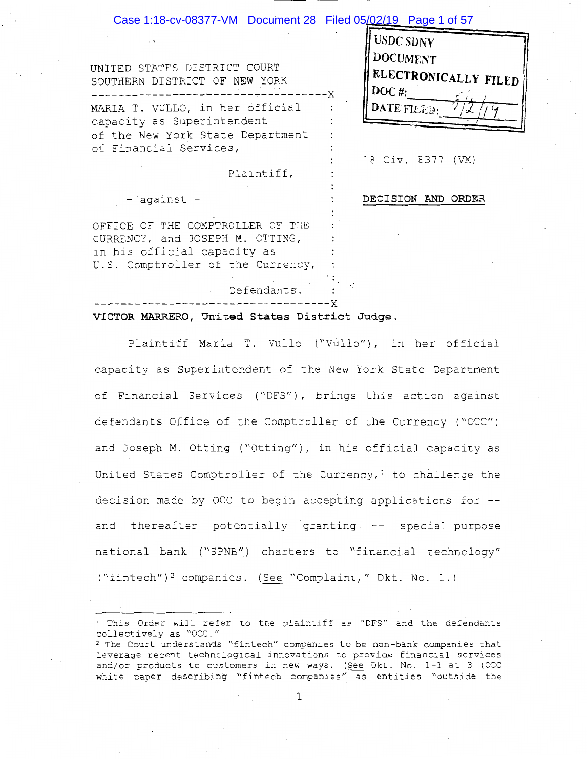#### Case 1:18-cv-08377-VM Document 28 Filed 05/02/19 Page 1 of 57

| UNITED STATES DISTRICT COURT<br>SOUTHERN DISTRICT OF NEW YORK | <b>H</b> USDC SDNY<br>H DOCUMENT<br><b>ELECTRONICALLY FILED'</b><br>$($ DOC #: |
|---------------------------------------------------------------|--------------------------------------------------------------------------------|
| MARIA T. VULLO, in her official<br>capacity as Superintendent | DATE FILED.                                                                    |
| of the New York State Department                              |                                                                                |
| of Financial Services,                                        |                                                                                |
|                                                               | 18 Civ. 8377 (VM)                                                              |
| Plaintiff,                                                    |                                                                                |
|                                                               |                                                                                |

against -

**DECISION AND ORDER** 

OFFICE OF THE COMPTROLLER OF THE CURRENCY, and JOSEPH M. OTTING, in his official capacity as U.S. Comptroller of the Currency,

#### **VICTOR MARRERO, Un·i ted States Dis tr ic t Judge** .

Defendants. -----------------------------------x

Plaintiff Maria T. Vullo ("Vullo"), in her official capacity as Superintendent of the New York State Department of Financial Services ("DFS"), brings this action against defendants Office of the Comptroller of the Currency ("OCC") and Joseph M. Otting ("Otting"), in his official capacity as United States Comptroller of the Currency,<sup>1</sup> to challenge the decision made by OCC to begin accepting applications for - and thereafter potentially granting -- special-purpose national bank ("SPNB") charters to "financial technology" ("fintech")<sup>2</sup> companies. (See "Complaint," Dkt. No. 1.)

<sup>1</sup> This Order will refer to the plaintiff as "DFS" and the defendants collectively as "OCC."

<sup>2</sup> The Court understands "fintech" companies to be non-bank companies that leverage recent technological innovations to provide financial services and/or products to customers in new ways. (See 0kt. No. 1-1 at 3 (OCC white paper describing "fintech companies" as entities "outside the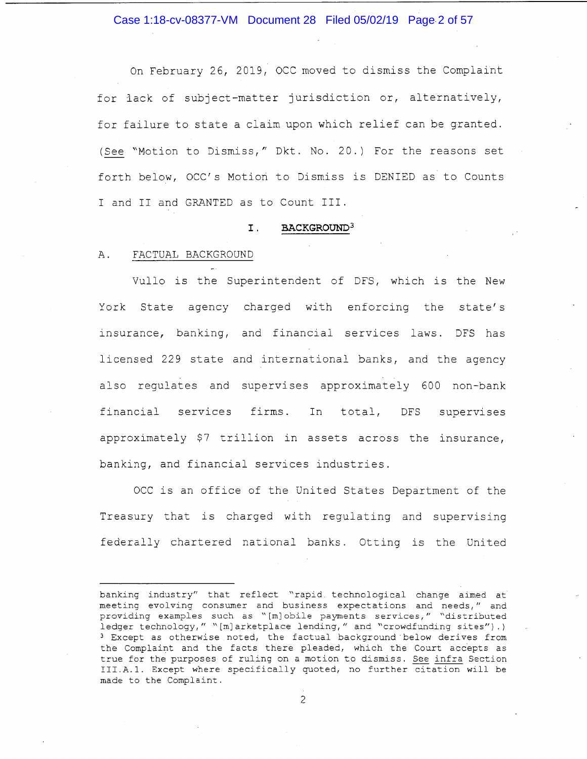Case 1:18-cv-08377-VM Document 28 Filed 05/02/19 Page 2 of 57

On February 26, 2019, OCC moved to dismiss the Complaint for lack of subject-matter jurisdiction or, alternatively, for failure to state a claim upon which relief can be granted. ( See "Motion to Dismiss," Dkt. No. 20.) For the reasons set forth below, OCC's Motion to Dismiss is DENIED as to Counts I and II and GRANTED as to Count III.

#### I . **BACKGROUND<sup>3</sup>**

#### A. FACTUAL BACKGROUND

Vullo is the Superintendent of DFS, which is the New York State agency charged with enforcing the state's insurance, banking, and financial services laws. DFS has licensed 229 state and international banks, and the agency also regulates and supervises approximately 600 non-bank financial services firms. In total, DFS supervises approximately \$7 trillion in assets across the insurance, banking, and financial services industries.

OCC is an office of the United States Department of the Treasury that is charged with regulating and supervising federally chartered national banks. Otting is the United

banking industry" that reflect "rapid. technological change aimed at meeting evolving consumer and business expectations and needs," and providing examples such as "[m] obile payments services," "distributed ledger technology," "[m] arketplace lending," and "crowdfunding sites").) 3 Except as otherwise noted, the factual background below derives from the Complaint and the facts there pleaded, which the Court accepts as true for the purposes of ruling on a motion to dismiss. See infra Section III.A.l. Except where specifically quoted, no further citation will be made to the Complaint.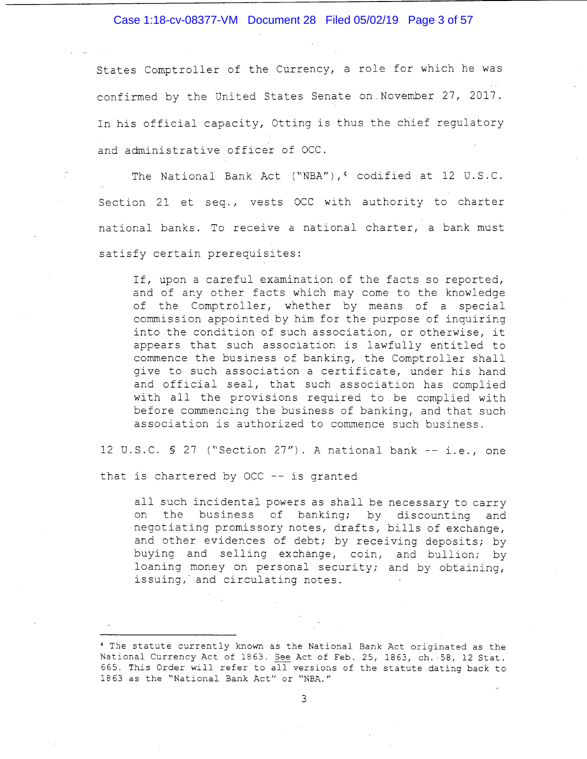Case 1:18-cv-08377-VM Document 28 Filed 05/02/19 Page 3 of 57

States Comptroller of the Currency, a role for which he was confirmed by the United States Senate on November 27, 2017. In his official capacity, Otting is thus the chief regulatory and administrative officer of OCC.

The National Bank Act ("NBA"),<sup>4</sup> codified at 12 U.S.C. Section 21 et seq., vests OCC with authority to charter national banks. To receive a national charter, a bank must satisfy certain prerequisites:

If, upon a careful examination of the facts so reported, and of any other facts which may come to the knowledge of the Comptroller, whether by means of a special commission appointed by him for the purpose of inquiring into the condition of such association, or otherwise, it appears that such association is lawfully entitled to commence the business of banking, the Comptroller shall give to such association a certificate, under his hand and official seal, that such association has complied with all the provisions required to be complied with before commencing the business of banking, and that such association is authorized to commence such business.

12 U.S.C. § 27 ("Section 27"). A national bank -- i.e., one

that is chartered by OCC -- is granted

all such incidental powers as shall be necessary to carry on the business of banking; by discounting and negotiating promissory notes, drafts, bills of exchange, and other evidences of debt; by receiving deposits; by buying and selling exchange, coin, and bullion; by loaning money on personal security; and by obtaining, issuing, and circulating notes.

<sup>4</sup> The statute currently known as the National Bank Act originated as the National Currency Act of 1863. See Act of Feb. 25, 1863, ch. 58, 12 Stat. 665. This Order will refer to all versions of the statute dating back to 1863 as the "National Bank Act" or "NBA."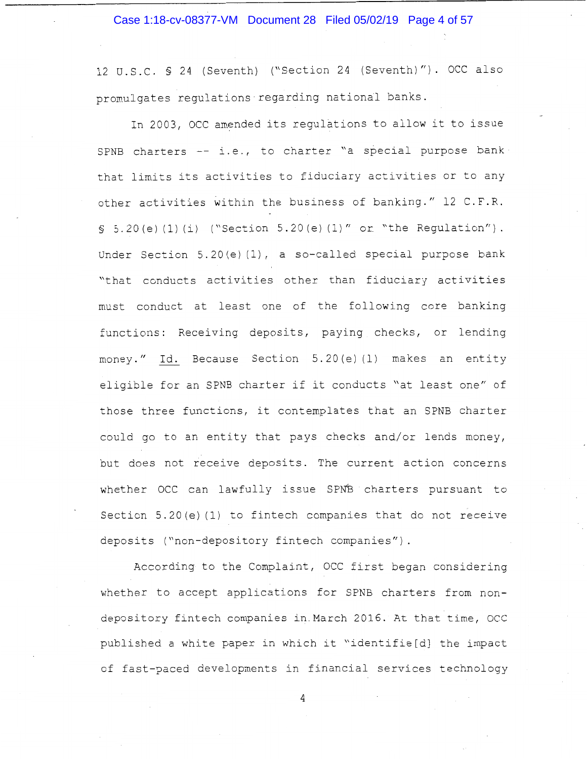#### Case 1:18-cv-08377-VM Document 28 Filed 05/02/19 Page 4 of 57

12 U.S.C. § 24 (Seventh) ("Section 24 (Seventh)"). OCC also promulgates regulations regarding national banks.

In 2003, OCC amended its regulations to allow it to issue SPNB charters  $-$  i.e., to charter "a special purpose bank that limits its activities to fiduciary activities or to any other activities within the business of banking." 12 C.F.R.  $§ 5.20(e) (1) (i)$  ("Section 5.20(e)(1)" or "the Regulation"). Under Section 5.20(e) (1), a so-called special purpose bank "that conducts activities other than fiduciary activities must conduct at least one of the following core banking functions: Receiving deposits, paying checks, or lending money." Id. Because Section 5.20(e)(1) makes an entity eligible for an SPNB charter if it conducts "at least one" of those three functions, it contemplates that an SPNB charter could go to an entity that pays checks and/or lends money, but does not receive deposits. The current action concerns whether OCC can lawfully issue SPNB charters pursuant to Section 5.20(e) (1) to fintech companies that do not receive deposits ("non-depository fintech companies")

According to the Complaint, OCC first began considering whether to accept applications for SPNB charters from nondepository fintech companies in\_March 2016. At that time, OCC published a white paper in which it "identifie[d] the impact of fast-paced developments in financial services technology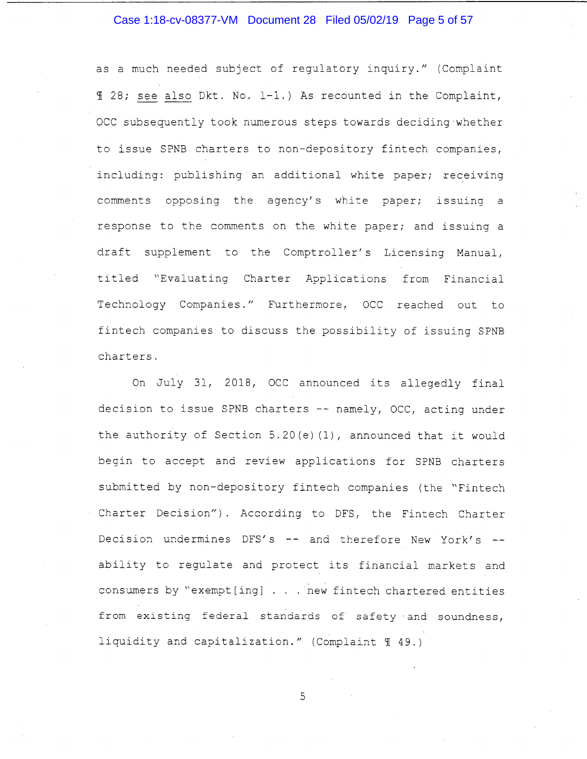## Case 1:18-cv-08377-VM Document 28 Filed 05/02/19 Page 5 of 57

as a much needed subject of regulatory inquiry." (Complaint <sup>~</sup>28; see also Dkt. No. 1-1.) As recounted in the Complaint, OCC subsequently took numerous steps towards deciding-whether to issue SPNB charters to non-depository fintech companies, including: publishing an additional white paper; receiving comments opposing the agency's white paper; issuing a response to the comments on the white paper; and issuing a draft supplement to the Comptroller's Licensing Manual, titled "Evaluating Charter Applications from Financial Technology Companies." Furthermore, OCC reached out to fintech companies to discuss the possibility of issuing SPNB charters.

On July 31, 2018, OCC announced its allegedly final decision to issue SPNB charters -- namely, OCC, acting under the authority of Section 5.20(e) (1), announced that it would begin to accept and review applications for SPNB charters submitted by non-depository fintech companies (the "Fintech Charter Decision"). According to DFS, the Fintech Charter Decision undermines DFS's  $-$  and therefore New York's  $$ ability to regulate and protect its financial markets and consumers by "exempt [ ing] . . . · new fintech chartered entities from existing federal standards of safety and soundness, liquidity and capitalization." (Complaint 1 49.)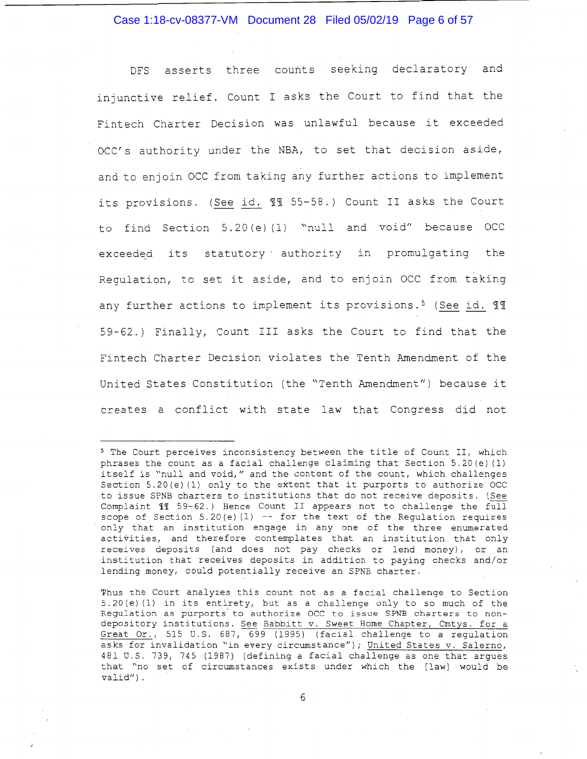Case 1:18-cv-08377-VM Document 28 Filed 05/02/19 Page 6 of 57

DFS asserts three counts seeking declaratory and injunctive relief. Count I asks the Court to find that the Fintech Charter Decision was unlawful because it exceeded OCC's authority under the NBA, to set that decision aside, and to enjoin OCC from taking any further actions to implement its provisions. (See id. 11 55-58.) Count II asks the Court to find Section 5.20(e)(1) "null and void" because OCC exceeded its statutory authority in promulgating the Regulation, to set it aside, and to enjoin OCC from taking any further actions to implement its provisions.<sup>5</sup> (See id.  $\mathbb{I}\mathbb{I}$ 59-62.) Finally, Count III asks the Court to find that the Fintech Charter Decision violates the Tenth Amendment of the United States Constitution (the "Tenth Amendment") because it creates a conflict with state law that Congress did not

 $-6$ 

<sup>5</sup> The Court perceives inconsistency between the title of Count II, which phrases the count as a facial challenge claiming that Section 5.20(e) (1) itself is "null and void," and the content of the count, which challenges Section 5.20(e) (1) only to the extent that it purports to authorize OCC to issue SPNB charters to institutions that do not receive deposits. (See Complaint 11 59-62.) Hence Count II appears not to challenge the full scope of Section 5.20(e) (1)  $-$ - for the text of the Regulation requires only that an institution engage in any one of the three enumerated activities, and therefore contemplates that an institution that only receives deposits (and does not pay checks or lend money), or an institution that receives deposits in addition to paying checks and/or lending money, could potentially receive an SPNB charter.

Thus the Court analyzes this count not as a facial challenge to Section 5.20(e)(l) in its entirety, but as a challenge only to so much of the Regulation as purports to authorize OCC to issue SPNB charters to nondepository institutions. See Babbitt v. Sweet Home Chapter, Cmtys. for a Great Or., 515 U.S. 687, 699 (1995) (facial challenge to a regulation asks for invalidation "in every circumstance"); United States v. Salerno, 481 U.S. 739, 745 (1987) (defining a facial challenge as one that argues that "no set of circumstances exists under which the [law] would be valid") .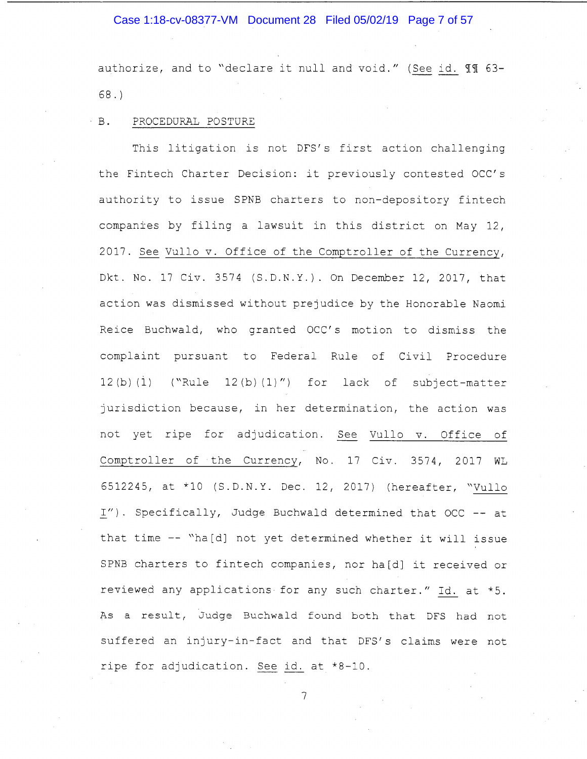#### Case 1:18-cv-08377-VM Document 28 Filed 05/02/19 Page 7 of 57

authorize, and to "declare it null and void." (See id. II 63-68.)

#### B. PROCEDURAL POSTURE

This litigation is not DFS's first action challenging the Fintech Charter Decision: it previously contested OCC's authority to issue SPNB charters to non-depository fintech companies by filing a lawsuit in this district on May 12, 2017. See Vullo v. Office of the Comptroller of the Currency, Dkt. No. 17 Civ. 3574 (S.D.N.Y.). On December 12, 2017, that action was dismissed without prejudice by the Honorable Naomi Reice Buchwald, who granted OCC's motion to dismiss the complaint pursuant to Federal Rule of Civil Procedure  $12(b) (1)$  ("Rule  $12(b) (1)$ ") for lack of subject-matter jurisdiction because, in her determination, the action was not yet ripe for adjudication. See Vullo v. Office of Comptroller of the Currency, No. 17 Civ. 3574, 2017 WL 6512245, at \*10 (S.D.N.Y. Dec. 12, 2017) (hereafter, "Vullo l"). Specifically, Judge Buchwald determined that OCC -- at that time -- "ha[d] not yet determined whether it will issue SPNB charters to fintech companies, nor ha[d] it received or reviewed any applications for any such charter." Id. at \*5. As a result, Judge Buchwald found both that DFS had not suffered an injury-in-fact and that DFS's claims were not ripe for adjudication. See id. at \*8-10.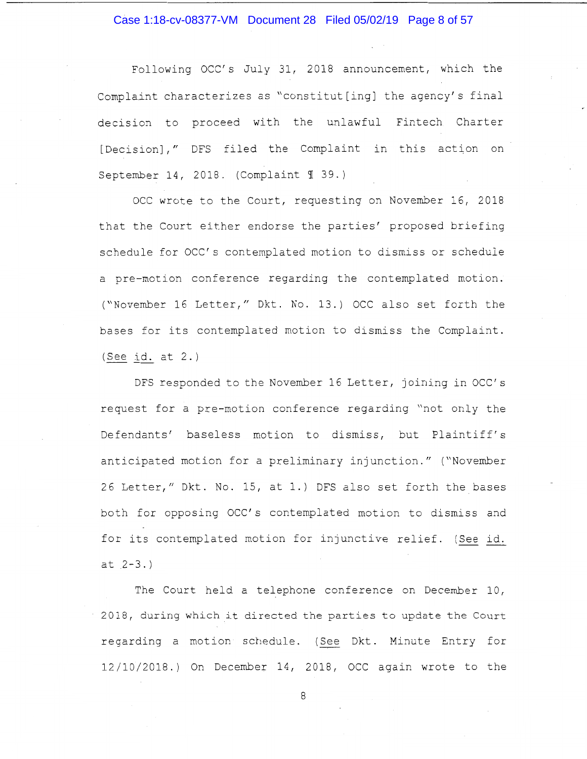#### Case 1:18-cv-08377-VM Document 28 Filed 05/02/19 Page 8 of 57

Following OCC's July 31, 2018 announcement, which the Complaint characterizes as "constitut[ing] the agency's final decision to proceed with the unlawful Fintech Charter [Decision]," DFS filed the Complaint in this action on September 14, 2018. (Complaint  $\mathcal I$  39.)

OCC wrote to the Court, requesting on November 16, 2018 that the Court either endorse the parties' proposed briefing schedule for OCC' s contemplated motion to dismiss or schedule a pre-motion conference regarding the contemplated motion. ( "November 16 Letter," Dkt. No. 13.) OCC also set forth the bases for its contemplated motion to dismiss the Complaint. (See id. at 2.)

DFS responded to the November 16 Letter, joining in OCC' s request for a pre-motion conference regarding "not only the Defendants' baseless motion to dismiss, but Plaintiff's anticipated motion for a preliminary injunction." ("November 26 Letter," Dkt. No. 15, at 1.) DFS also set forth the bases both for opposing OCC's contemplated motion to dismiss and for its contemplated motion for injunctive relief. (See id.  $at 2-3.$ 

The Court held a telephone conference on December 10, 2018, during which it directed the parties to update the Court regarding a motion schedule. ( See Dkt. Minute Entry for 12/10/2018.) On December 14, 2018, OCC again wrote to the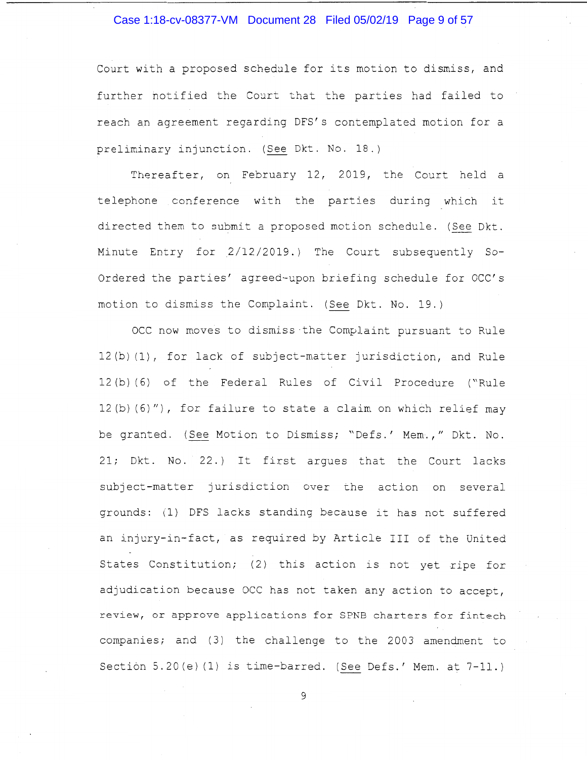#### Case 1:18-cv-08377-VM Document 28 Filed 05/02/19 Page 9 of 57

Court with a proposed schedule for its motion to dismiss, and further notified the Court that the parties had failed to reach an agreement regarding DFS's contemplated motion for a preliminary injunction. (See Dkt. No. 18.)

Thereafter, on February 12, 2019, the Court held a telephone conference with the parties during which it directed them to submit a proposed motion schedule. (See Dkt. Minute Entry for 2/12/2019.) The Court subsequently So-Ordered the parties' agreed-upon briefing schedule for OCC's motion to dismiss the Complaint. (See Dkt. No. 19.)

OCC now moves to dismiss the Complaint pursuant to Rule 12 (b) (1), for lack of subject-matter jurisdiction, and Rule 12 (b) (6) of the Federal Rules of Civil Procedure ("Rule 12(b) (6)"), for failure to state a claim on which relief may be granted. (See Motion to Dismiss; "Defs.' Mem.," Dkt. No. 21; Dkt. No. 22.) It first argues that the Court lacks subject-matter jurisdiction over the action on several grounds: (1) DFS lacks standing because it has not suffered an injury-in-fact, as required by Article III of the United States Constitution; (2) this action is not yet ripe for adjudication because OCC has not taken any action to accept, review, or approve applications for SPNB charters for fintech companies; and ( 3) the challenge to the 2003 amendment to Section 5.20(e) (1) is time-barred. (See Defs.' Mem. at 7-11.)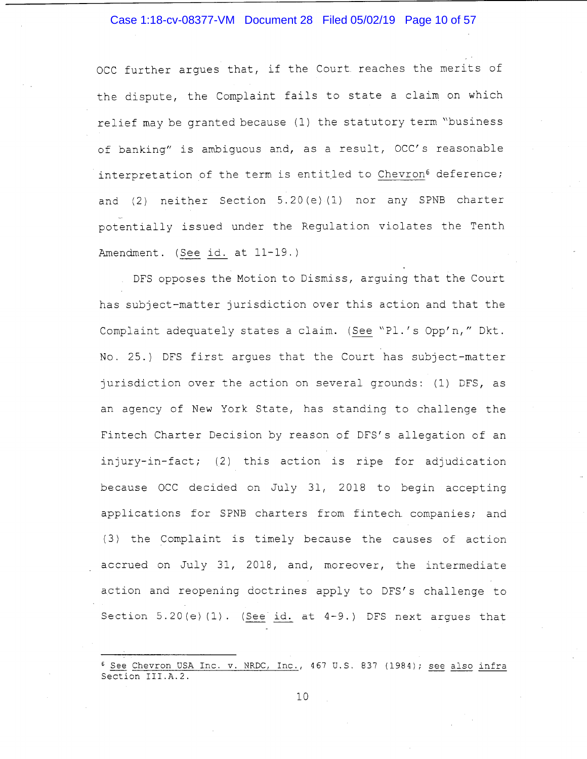#### Case 1:18-cv-08377-VM Document 28 Filed 05/02/19 Page 10 of 57

OCC further argues that, if the Court reaches the merits of the dispute, the Complaint fails to state a claim on which relief may be granted because (1) the statutory term "business of banking" is ambiguous and, as a result, OCC's reasonable interpretation of the term is entitled to Chevron<sup>6</sup> deference; and (2) neither Section 5.20(e) (1) nor any SPNB charter potentially issued under the Regulation violates the Tenth Amendment. (See id. at 11-19.)

DFS opposes the Motion to Dismiss, arguing that the Court has subject-matter jurisdiction over this action and that the Complaint adequately states a claim. (See "Pl.'s Opp'n," Dkt. No. 25.) DFS first argues that the Court has subject-matter jurisdiction over the action on several grounds: (1) DFS, as an agency of New York State, has standing to challenge the Fintech Charter Decision by reason of DFS's allegation of an injury-in-fact; (2) this action is ripe for adjudication because OCC decided on July 31, 2018 to begin accepting applications for SPNB charters from fintech companies; and ( 3) the Complaint is timely because the causes of action accrued on July 31, 2018, and, moreover, the intermediate action and reopening doctrines apply to DFS's challenge to Section  $5.20(e)$  (1). (See id. at  $4-9$ .) DFS next argues that

 $6$  See Chevron USA Inc. v. NRDC, Inc., 467 U.S. 837 (1984); see also infra Section III.A.2.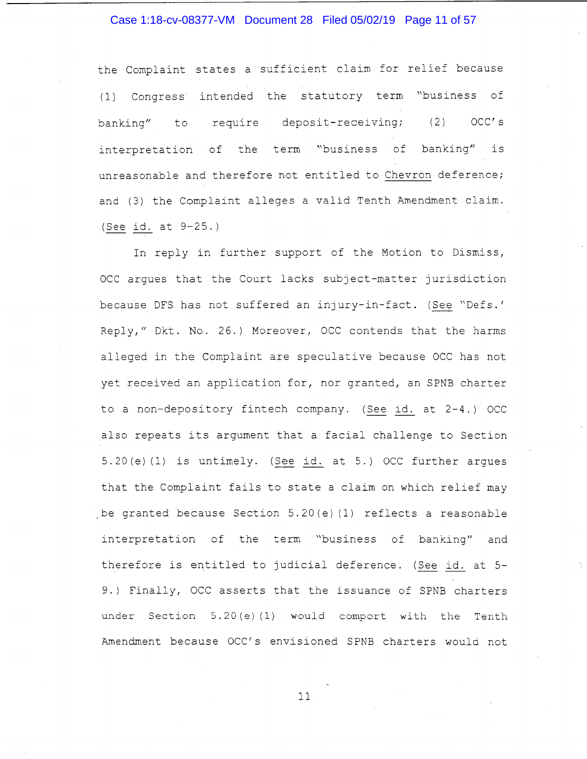#### Case 1:18-cv-08377-VM Document 28 Filed 05/02/19 Page 11 of 57

the Complaint states a sufficient claim for relief because (1) Congress intended the statutory term "business of banking" to require deposit-receiving; (2) OCC's interpretation of the term "business of banking" is unreasonable and therefore not entitled to Chevron deference; and (3) the Complaint alleges a valid Tenth Amendment claim. (See id. at 9-25.)

In reply in further support of the Motion to Dismiss, OCC argues that the Court lacks subject-matter jurisdiction because DFS has not suffered an injury-in-fact. (See "Defs.' Reply," 0kt. No. 26.) Moreover, OCC contends that the harms alleged in the Complaint are speculative because OCC has not yet received an application for, nor granted, an SPNB charter to a non-depository fintech company. ( See id. at 2-4.) OCC also repeats its argument that a facial challenge to Section 5.20(e) (1) is untimely. (See id. at 5.) OCC further argues that the Complaint fails to state a claim on which relief may be granted because Section  $5.20 (e) (1)$  reflects a reasonable interpretation of the term "business of banking" and therefore is entitled to judicial deference. (See id. at 5- 9.) Finally, OCC asserts that the issuance of SPNB charters under Section  $5.20(e)(1)$  would comport with the Tenth Amendment because OCC's envisioned SPNB charters would not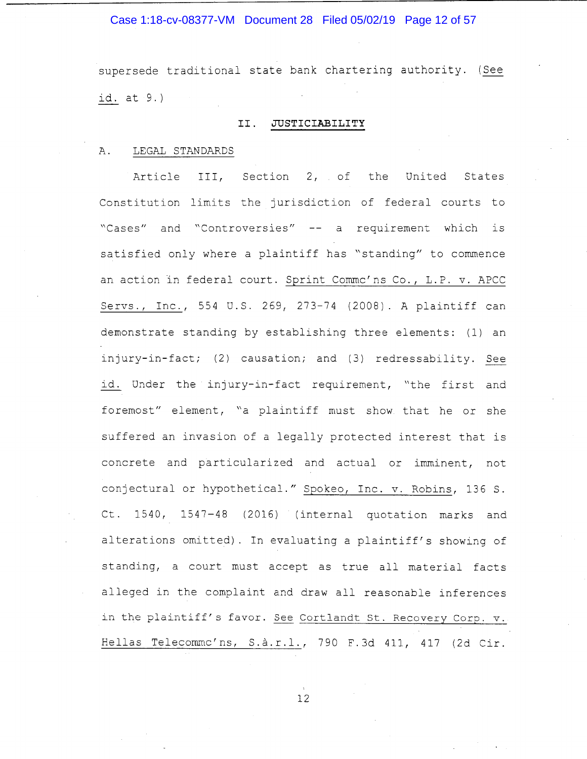#### Case 1:18-cv-08377-VM Document 28 Filed 05/02/19 Page 12 of 57

supersede traditional state bank chartering authority. ( See id. at 9.)

#### II. **JUSTICIABILITY**

#### A. LEGAL STANDARDS

Article III, Section 2, of the United States Constitution limits the jurisdiction of federal courts to "Cases" and "Controversies" -- a requirement which is satisfied only where a plaintiff has "standing" to commence an action in federal court. Sprint Commc'ns Co., L.P. v. APCC Servs., Inc., 554 U.S. 269, 273-74 (2008). A plaintiff can demonstrate standing by establishing three elements: (1) an injury-in-fact; (2) causation; and (3) redressability. See id. Under the injury-in-fact requirement, "the first and foremost" element, "a plaintiff must show that he or she suffered an invasion of a legally protected interest that is concrete and particularized and actual or imminent, not conjectural or hypothetical." Spokeo, Inc. v. Robins, 136 S. Ct. 1540, 1547-48 ( 2016) (internal quotation marks and alterations omitted). In evaluating a plaintiff's showing of standing, a court must accept as true all material facts alleged in the complaint and draw all reasonable inferences in the plaintiff's favor. See Cortlandt St. Recovery Corp. v. Bellas Telecommc'ns, S.a.r.l., 790 F.3d 411, 417 (2d Cir.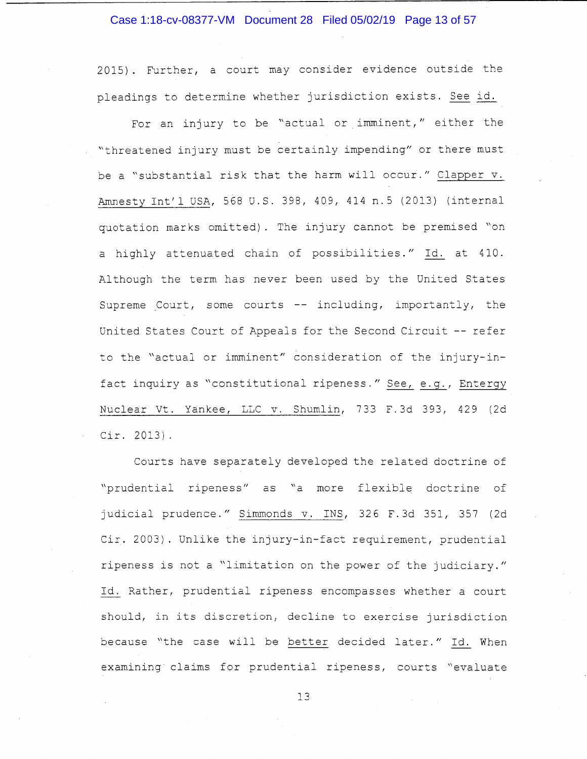Case 1:18-cv-08377-VM Document 28 Filed 05/02/19 Page 13 of 57

2015). Further, a court may consider evidence outside the pleadings to determine whether jurisdiction exists. See id.

For an injury to be "actual or imminent," either the "threatened injury must be certainly impending" or there must be a "substantial risk that the harm will occur." Clapper v. Amnesty Int'l USA, 568 U.S. 398, 409, 414 n.5 (2013) (internal quotation marks omitted). The injury cannot be premised "on a highly attenuated chain of possibilities." Id. at 410. Although the term has never been used by the United States Supreme Court, some courts  $--$  including, importantly, the United States Court of Appeals for the Second Circuit -- refer to the "actual or imminent" consideration of the injury-infact inquiry as "constitutional ripeness." See, e.g., Entergy Nuclear Vt. Yankee, LLC v. Shumlin, 733 F. 3d 393, 429 (2d Cir. 2013).

Courts have separately developed the related doctrine of "prudential ripeness" as "a more flexible doctrine of judicial prudence." Simmonds v. INS, 326 F. 3d 351, 357 (2d Cir. 2003). Unlike the injury-in-fact requirement, prudential ripeness is not a "limitation on the power of the judiciary." Id. Rather, prudential ripeness encompasses whether a court should, in its discretion, decline to exercise jurisdiction because "the case will be better decided later." Id. When examining claims for prudential ripeness, courts "evaluate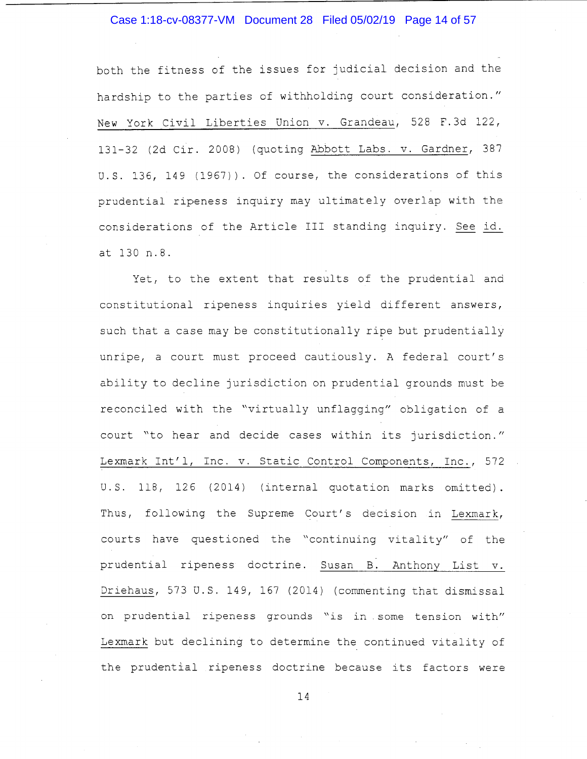#### Case 1:18-cv-08377-VM Document 28 Filed 05/02/19 Page 14 of 57

both the fitness of the issues for judicial decision and the hardship to the parties of withholding court consideration." New York Civil Liberties Union v. Grandeau, 528 F.3d 122, 131-32 (2d Cir. 2008) (quoting Abbott Labs. v. Gardner, 387 U.S. 136, 149 (1967)). Of course, the considerations of this prudential ripeness inquiry may ultimately overlap with the considerations of the Article III standing inquiry. See id. at 130 n.8.

Yet, to the extent that results of the prudential and constitutional ripeness inquiries yield different answers, such that a case may be constitutionally ripe but prudentially unripe, a court must proceed cautiously. A federal court's ability to decline jurisdiction on prudential grounds must be reconciled with the "virtually unflagging" obligation of a court "to hear and decide cases within its jurisdiction." Lexmark Int'l, Inc. v. Static Control Components, Inc., 572 U.S. 118, 126 (2014) (internal quotation marks omitted). Thus, following the Supreme Court's decision in Lexmark, courts have questioned the "continuing vitality" of the prudential ripeness doctrine. Susan B. Anthony List v. Driehaus, 573 U.S. 149, 167 (2014) (commenting that dismissal on prudential ripeness grounds "is in . some tension with" Lexmark but declining to determine the continued vitality of the prudential ripeness doctrine because its factors were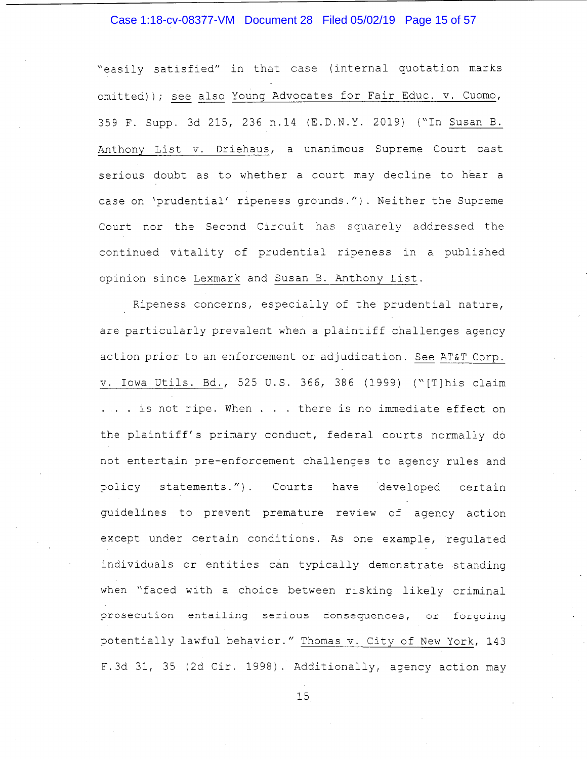#### Case 1:18-cv-08377-VM Document 28 Filed 05/02/19 Page 15 of 57

"easily satisfied" in that case ( internal quotation marks omitted)); see also Young Advocates for Fair Educ. v. Cuomo, 359 F. Supp. 3d 215, 236 n.14 (E.D.N.Y. 2019) ("In Susan B. Anthony List v. Driehaus, a unanimous Supreme Court cast serious doubt as to whether a court may decline to hear a case on 'prudential' ripeness grounds."). Neither the Supreme Court nor the Second Circuit has squarely addressed the continued vitality of prudential ripeness in a published opinion since Lexmark and Susan B. Anthony List.

Ripeness concerns, especially of the prudential nature, are particularly prevalent when a plaintiff challenges agency action prior to an enforcement or adjudication. See AT&T Corp. v. Iowa Utils. Bd., 525 U.S. 366, 386 (1999) ("[T]his claim ... is not ripe. When . . . there is no immediate effect on the plaintiff's primary conduct, federal courts normally do not entertain pre-enforcement challenges to agency rules and policy statements."). Courts have developed certain guidelines to prevent premature review of agency action except under certain conditions. As one example, regulated individuals or entities can typically demonstrate standing when "faced with a choice between risking likely criminal prosecution entailing serious consequences, or forgoing potentially lawful behavior." Thomas v. City of New York, 143 F.3d 31, 35 (2d Cir. 1998). Additionally, agency action may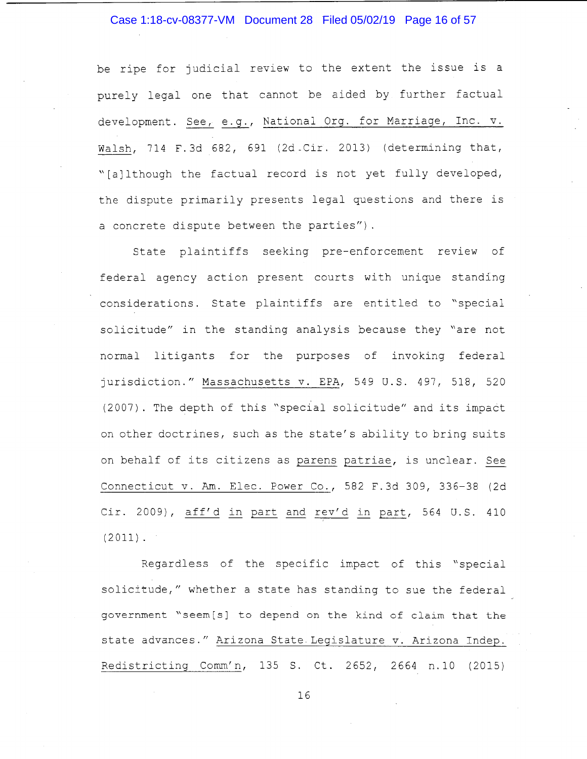#### Case 1:18-cv-08377-VM Document 28 Filed 05/02/19 Page 16 of 57

be ripe for judicial review to the extent the issue is a purely legal one that cannot be aided by further factual development. See, e.g., National Org. for Marriage, Inc. v. Walsh, 714 F. 3d 682, 691 (2d -Cir. 2013) (determining that, "[a] lthough the factual record is not yet fully developed, the dispute primarily presents legal questions and there is a concrete dispute between the parties").

State plaintiffs seeking pre-enforcement review of federal agency action present courts with unique standing considerations. State plaintiffs are entitled to "special solicitude" in the standing analysis because they "are not normal litigants for the purposes of invoking federal jurisdiction." Massachusetts v. EPA, 549 U.S. 497, 518, 520 (2007). The depth of this "special solicitude" and its impact on other doctrines, such as the state's ability to bring suits on behalf of its citizens as parens patriae, is unclear. See Connecticut v. Am. Elec. Power Co., 582 F.3d 309, 336-38 (2d Cir. 2009), aff'd in part and rev'd in part, 564 U.S. 410  $(2011)$ .

Regardless of the specific impact of this "special solicitude," whether a state has standing to sue the federal government "seem[s] to depend on the kind of claim that the state advances." Arizona State Legislature v. Arizona Indep. Redistricting Comm'n, 135 S. Ct. 2652, 2664 n.10 (2015)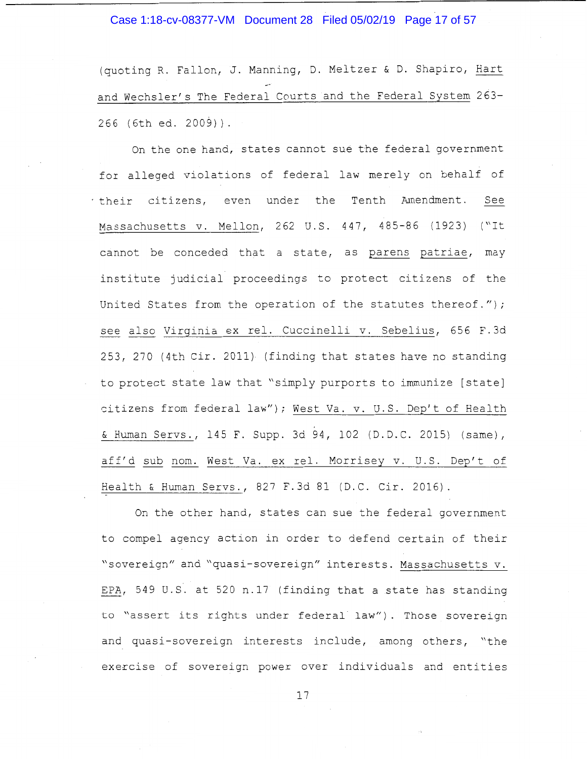#### Case 1:18-cv-08377-VM Document 28 Filed 05/02/19 Page 17 of 57

(quoting R. Fallon, *J.* Manning, D. Meltzer & D. Shapiro, Hart and Wechsler's The Federal Courts and the Federal System 263- 266 (6th ed. 2009)).

On the one hand, states cannot sue the federal government for alleged violations of federal law merely on behalf of their citizens, even under the Tenth Amendment. See Massachusetts v. Mellon, 262 U.S. 447, 485-86 (1923) ("It cannot be conceded that a state, as parens patriae, may institute judicial proceedings to protect citizens of the United States from the operation of the statutes thereof."); see also Virginia ex rel. Cuccinelli v. Sebelius, 656 F.3d 253, 270 (4th Cir. 2011) (finding that states have no standing to protect state law that "simply purports to immunize [state] citizens from federal law"); West Va. v. U.S. Dep't of Health & Human Servs., 145 F. Supp. 3d 94, 102 (D.D.C. 2015) (same), aff'd sub nom. West Va. ex rel. Morrisey v. U.S. Dep't of Health & Human Servs., 827 F.3d 81 (D.C. Cir. 2016).

On the other hand, states can sue the federal government to compel agency action in order to defend certain of their "sovereign" and "quasi-sovereign" interests. Massachusetts v. EPA, 549 U.S. at 520 n.17 (finding that a state has standing to "assert its rights under federal law"). Those sovereign and quasi-sovereign interests include, among others, "the exercise of sovereign power over individuals and entities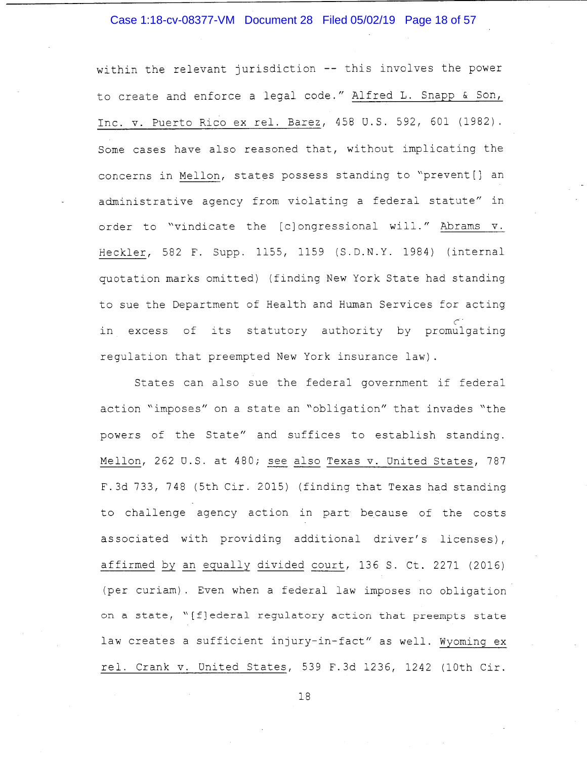#### Case 1:18-cv-08377-VM Document 28 Filed 05/02/19 Page 18 of 57

within the relevant jurisdiction -- this involves the power to create and enforce a legal code." Alfred L. Snapp & Son, Inc. v. Puerto Rico ex rel. Barez, 458 U.S. 592, 601 (1982). Some cases have also reasoned that, without implicating the concerns in Mellon, states possess standing to "prevent[] an administrative agency from violating a federal statute" in order to "vindicate the [c] ongressional will." Abrams v. Heckler, 582 F. Supp. 1155, 1159 (S.D.N.Y. 1984) (internal quotation marks omitted) (finding New York State had standing to sue the Department of Health and Human Services for acting c-. in excess of its statutory authority by promulgating regulation that preempted New York insurance law).

States can also sue the federal government if federal action "imposes" on a state an "obligation" that invades "the powers of the State" and suffices to establish standing. Mellon, 262 U.S. at 480; see also Texas v. United States, 787 F.3d 733, 748 (5th Cir. 2015) (finding that Texas had standing to challenge agency action in part because of the costs associated with providing additional driver's licenses), affirmed by an equally divided court, 136 S. Ct. 2271 (2016) (per curiam). Even when a federal law imposes no obligation on a state, "[f]ederal regulatory action that preempts state law creates a sufficient injury-in-fact" as well. Wyoming ex rel. Crank v. United States, 539 F.3d 1236, 1242 (10th Cir.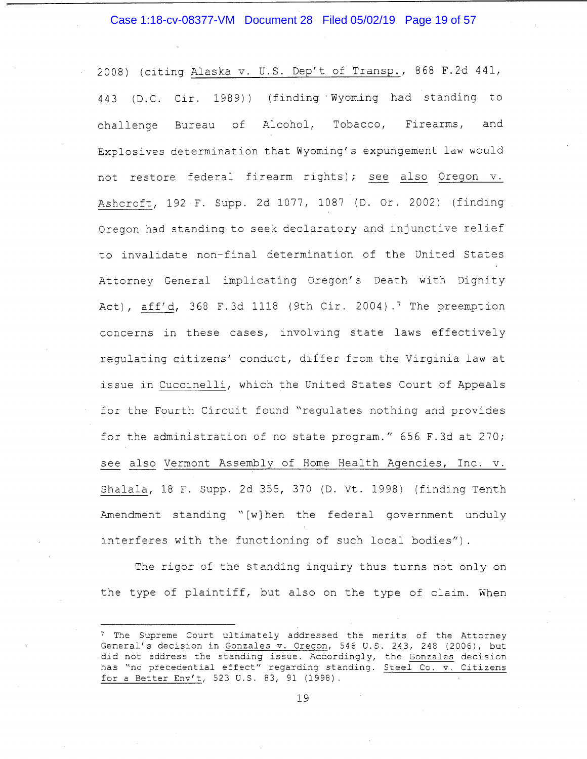#### Case 1:18-cv-08377-VM Document 28 Filed 05/02/19 Page 19 of 57

2008) (citing Alaska v. U.S. Dep't of Transp., 868 F.2d 441, 443 (D.C. Cir. 1989)) (finding Wyoming had standing to challenge Bureau of Alcohol, Tobacco, Firearms, and Explosives determination that Wyoming's expungement law would not restore federal firearm rights); see also Oregon v. Ashcroft, 192 F. Supp. 2d 1077, 1087 (D. Or. 2002) (finding Oregon had standing to seek declaratory and injunctive relief to invalidate non-final determination of the United States Attorney General implicating Oregon's Death with Dignity Act), aff'd, 368 F.3d 1118 (9th Cir. 2004).<sup>7</sup> The preemption concerns in these cases, involving state laws effectively regulating citizens' conduct, differ from the Virginia law at issue in Cuccinelli, which the United States Court of Appeals for the Fourth Circuit found "regulates nothing and provides for the administration of no state program." 656 F.3d at 270; see also Vermont Assembly of Home Health Agencies, Inc. v. Shalala, 18 F. Supp. 2d 355, 370 (D. Vt. 1998) (finding Tenth Amendment standing " [w] hen the federal government unduly interferes with the functioning of such local bodies").

The rigor of the standing inquiry thus turns not only on the type of plaintiff, but also on the type of claim. When

<sup>&</sup>lt;sup>7</sup> The Supreme Court ultimately addressed the merits of the Attorney General's decision in Gonzales v. Oregon, 546 U.S. 243, 248 (2006), but did not address the standing issue. Accordingly, the Gonzales decision has "no precedential effect" regarding standing. Steel Co. v. Citizens for a Better Env't, 523 U.S. 83, 91 (1998).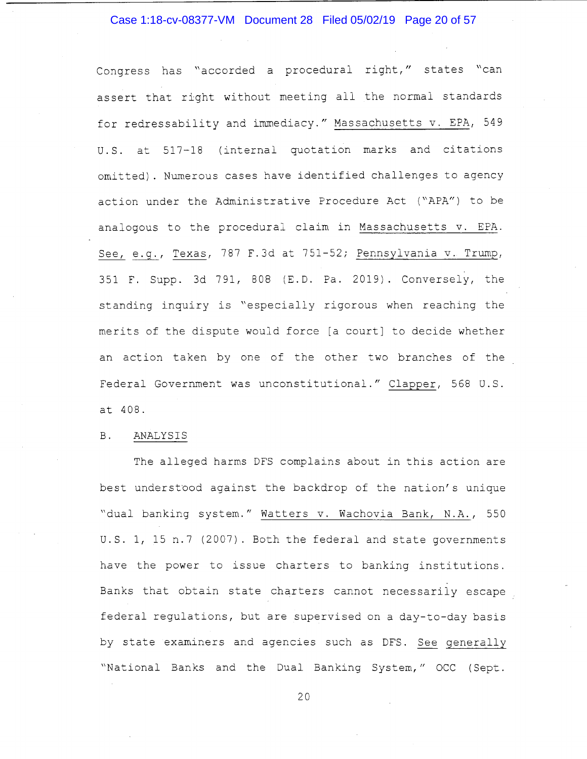#### Case 1:18-cv-08377-VM Document 28 Filed 05/02/19 Page 20 of 57

Congress has "accorded a procedural right," states "can assert that right without meeting all the normal standards for redressability and immediacy." Massachusetts v. EPA, 549 U.S. at 517-18 (internal quotation marks and citations omitted). Numerous cases have identified challenges to agency action under the Administrative Procedure Act ("APA") to be analogous to the procedural claim in Massachusetts v. EPA. See, e.g., Texas, 787 F.3d at 751-52; Pennsylvania v. Trump, 351 F. Supp. 3d 791, 808 (E.D. Pa. 2019). Conversely, the standing inquiry is "especially rigorous when reaching the merits of the dispute would force [a court] to decide whether an action taken by one of the other two branches of the Federal Government was unconstitutional." Clapper, 568 U.S. at 408.

#### B. ANALYSIS

The alleged harms DFS complains about in this action are best understood against the backdrop of the nation's unique "dual banking system." Watters v. Wachovia Bank, N.A., 550 U.S. 1, 15 n.7 (2007). Both the federal and state governments have the power to issue charters to banking institutions. Banks that obtain state charters cannot necessarily escape federal regulations, but are supervised on a day-to-day basis by state examiners and agencies such as DFS. See generally "National Banks and the Dual Banking System," OCC (Sept.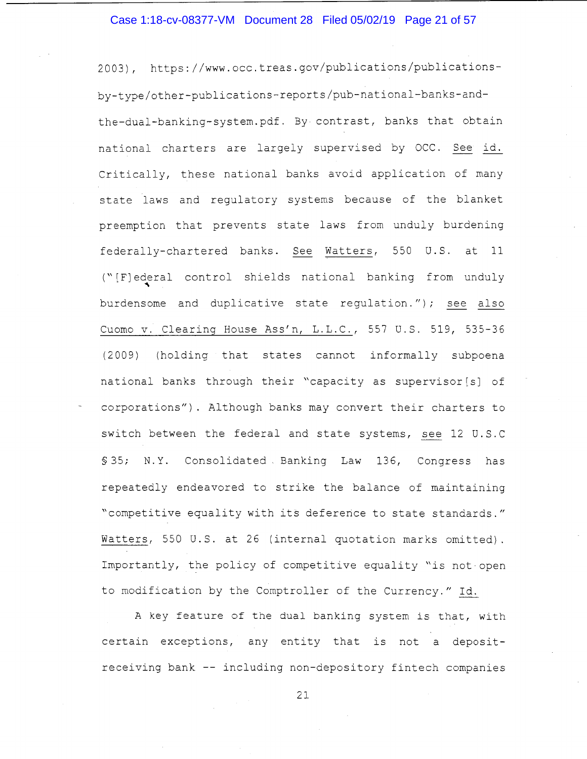#### Case 1:18-cv-08377-VM Document 28 Filed 05/02/19 Page 21 of 57

2003), https://www.occ.treas.gov/publications/publicationsby-type/other-publications-reports/pub-national-banks-andthe-dual-banking-system.pdf. By contrast, banks that obtain national charters are largely supervised by OCC. See id. Critically, these national banks avoid application of many state laws and regulatory systems because of the blanket preemption that prevents state laws from unduly burdening federally-chartered banks. See Watters, 550 U.S. at 11 ("[F]ederal control shields national banking from unduly " burdensome and duplicative state regulation."); see also Cuomo v. Clearing House Ass'n, L.L.C., 557 U.S. 519, 535-36 ( 2 009) (holding that states cannot informally subpoena national banks through their "capacity as supervisor [s] of corporations"). Although banks may convert their charters to switch between the federal and state systems, see 12 U.S. C §35; N.Y. Consolidated Banking Law 136, Congress has repeatedly endeavored to strike the balance of maintaining "competitive equality with its deference to state standards." Watters, 550 U.S. at 26 (internal quotation marks omitted). Importantly, the policy of competitive equality "is not-open to modification by the Comptroller of the Currency." Id.

A key feature of the dual banking system is that, with certain exceptions, any entity that is not a depositreceiving bank -- including non-depository fintech companies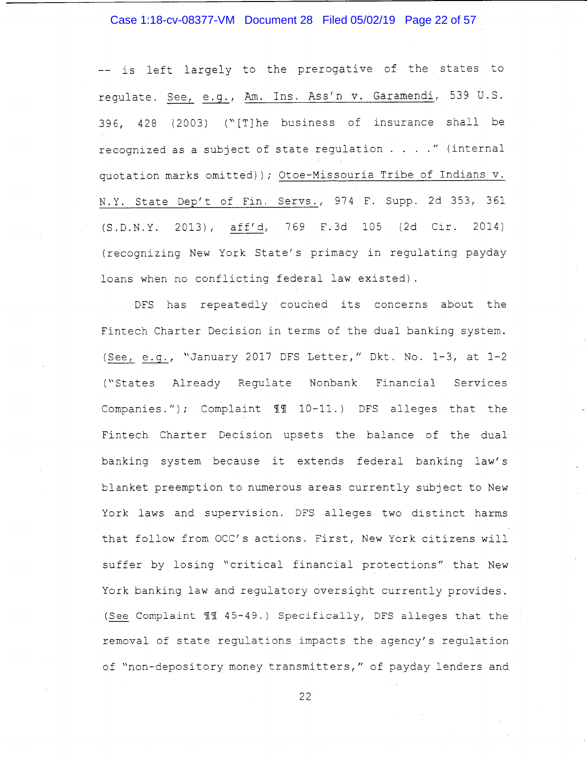## Case 1:18-cv-08377-VM Document 28 Filed 05/02/19 Page 22 of 57

-- is left largely to the prerogative of the states to regulate. See, e.g., Am. Ins. Ass'n v. Garamendi, 539 U.S. 396, 428 {2003) ("[T]he business of insurance shall be recognized as a subject of state regulation .... " (internal quotation marks omitted)); Otoe-Missouria Tribe of Indians v. N.Y. State Dep't of Fin. Servs., 974 F. Supp. 2d 353, 361 (S.D.N.Y. 2013), aff'd, 769 F.3d 105 (2d Cir. 2014) (recognizing New York State's primacy in regulating payday loans when no conflicting federal law existed).

DFS has repeatedly couched its concerns about the Fintech Charter Decision in terms of the dual banking system. (See, e.g., "January 2017 DFS Letter," Dkt. No. 1-3, at 1-2 ("States Already Regulate Nonbank Financial Services Companies."); Complaint  $\mathbb{I}\mathbb{I}$  10-11.) DFS alleges that the Fintech Charter Decision upsets the balance of the dual banking system because it extends federal banking law's blanket preemption to numerous areas currently subject to New York laws and supervision. DFS alleges two distinct harms that follow from OCC's actions. First, New York citizens will suffer by losing "critical financial protections" that New York banking law and regulatory oversight currently provides. (See Complaint  $~11~$  45-49.) Specifically, DFS alleges that the removal of state regulations impacts the agency's regulation of "non-depository money transmitters," of payday lenders and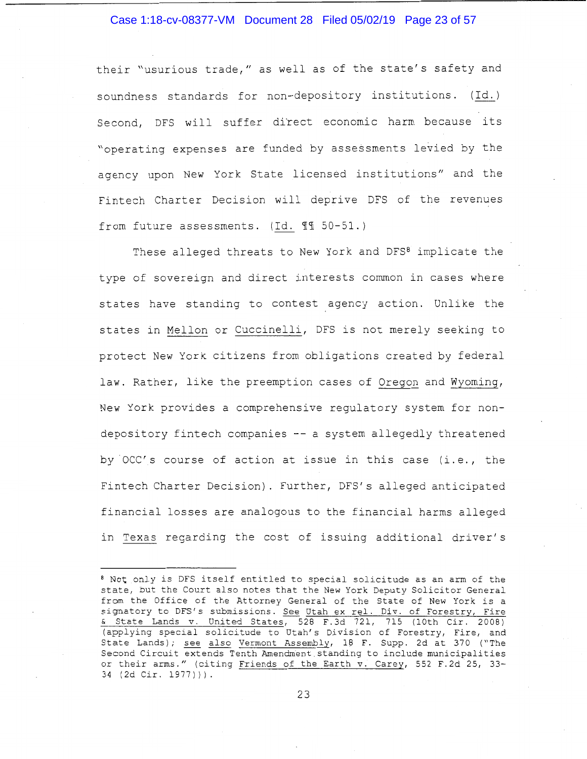#### Case 1:18-cv-08377-VM Document 28 Filed 05/02/19 Page 23 of 57

their "usurious trade," as well as of the state's safety and soundness standards for non-depository institutions. (Id.) Second, DFS will suffer direct economic harm because its "operating expenses are funded by assessments levied by the agency upon New York State licensed institutions" and the Fintech Charter Decision will deprive DFS of the revenues from future assessments. (Id.  $\mathbb{I}$  50-51.)

These alleged threats to New York and DFS<sup>8</sup> implicate the type of sovereign and direct interests common in cases where states have standing to contest agency action. Unlike the states in Mellon or Cuccinelli, DFS is not merely seeking to protect New York citizens from obligations created by federal law. Rather, like the preemption cases of Oregon and Wyoming, New York provides a comprehensive regulatory system for nondepository fintech companies -- a system allegedly threatened by OCC's course of action at issue in this case (i.e., the Fintech Charter Decision). Further, DFS's alleged anticipated financial losses are analogous to the financial harms alleged in Texas regarding the cost of issuing additional driver's

<sup>8</sup>Not only is DFS itself entitled to special solicitude as an arm of the state, but the Court also notes that the New York Deputy Solicitor General from the Office of the Attorney General of the State of New York is a signatory to DFS's submissions. See Utah ex rel. Div. of Forestry, Fire & State Lands v. United States, 528 F.3d 721, 715 (10th Cir. 2008) (applying special solicitude to Utah's Division of Forestry, Fire, and State Lands); see also Vermont Assembly, 18 F. Supp. 2d at 370 ("The Second Circuit extends Tenth Amendment.standing to include municipalities or their arms." (citing Friends of the Earth v. Carey, 552 F.2d 25, 33- 34 (2d Cir. 1977))).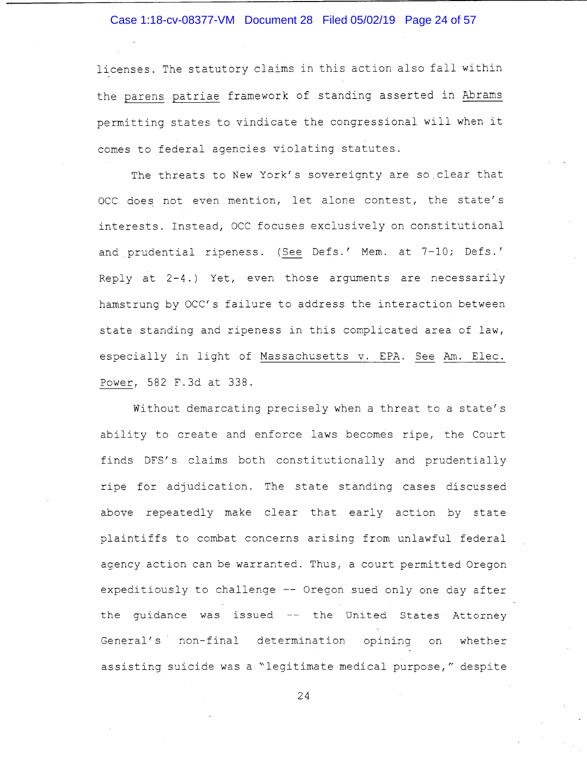#### Case 1:18-cv-08377-VM Document 28 Filed 05/02/19 Page 24 of 57

licenses. The statutory claims in this action also fall within the parens patriae framework of standing asserted in Abrams permitting states to vindicate the congressional will when it comes to federal agencies violating statutes.

The threats to New York's sovereignty are so.clear that OCC does not even mention, let alone contest, the state's interests. Instead, DCC focuses exclusively on constitutional and prudential ripeness. (See Defs.' Mem. at 7-10; Defs.' Reply at 2-4.) Yet, even those arguments are necessarily hamstrung by OCC's failure to address the interaction between state standing and ripeness in this complicated area of law, especially in light of Massachusetts v. EPA. See Am. Elec. Power, 582 F.3d at 338.

Without demarcating precisely when a threat to a state's ability to create and enforce laws becomes ripe, the Court finds DFS' s claims both constitutionally and prudentially ripe for adjudication. The state standing cases discussed above repeatedly make clear that early action by state plaintiffs to combat concerns arising from unlawful federal agency action can be warranted. Thus, a court permitted Oregon expeditiously to challenge -- Oregon sued only one day after the guidance was issued  $-$  the United States Attorney General's non-final determination opining on whether assisting suicide was a ~legitimate medical purpose," despite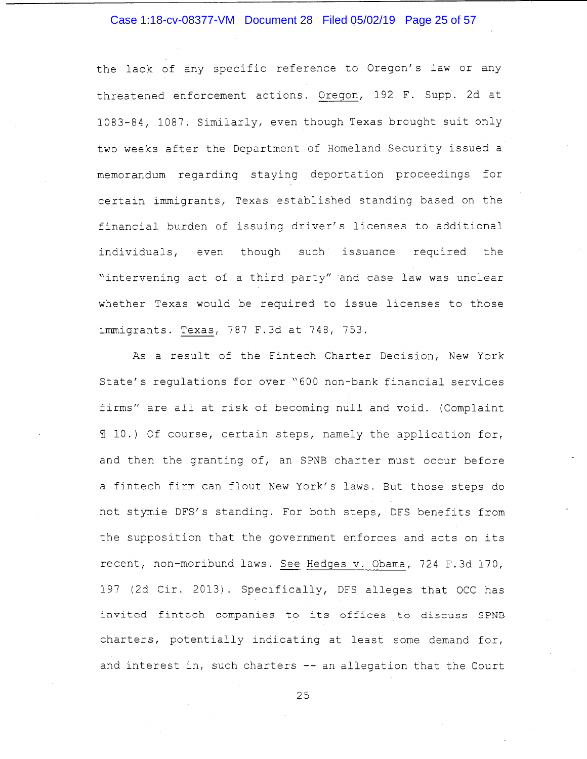#### Case 1:18-cv-08377-VM Document 28 Filed 05/02/19 Page 25 of 57

the lack of any specific reference to Oregon's law or any threatened enforcement actions. Oregon, 192 F. Supp. 2d at 1083-84, 1087. Similarly, even though Texas brought suit only two weeks after the Department of Homeland Security issued a memorandum regarding staying deportation proceedings for certain immigrants, Texas established standing based on the financial burden of issuing driver's licenses to additional individuals, even though such issuance required the "intervening act of a third party" and case law was unclear whether Texas would be required to issue licenses to those immigrants. Texas, 787 F.3d at 748, 753.

As a result of the Fintech Charter Decision, New York State's regulations for over "600 non-bank financial services firms" are all at risk of becoming null and void. (Complaint <sup>~</sup>10.) Of course, certain steps, namely the application for, and then the granting of, an SPNB charter must occur before a fintech firm can flout New York's laws. But those steps do not stymie DFS's standing. For both steps, DFS benefits from the supposition that the government enforces and acts on its recent, non-moribund laws. See Hedges v. Obama, 724 F.3d 170, 197 (2d Cir. 2013). Specifically, DFS alleges that OCC has invited fintech companies to its offices to discuss SPNB charters, potentially indicating at least some demand for, and interest in, such charters -- an allegation that the Court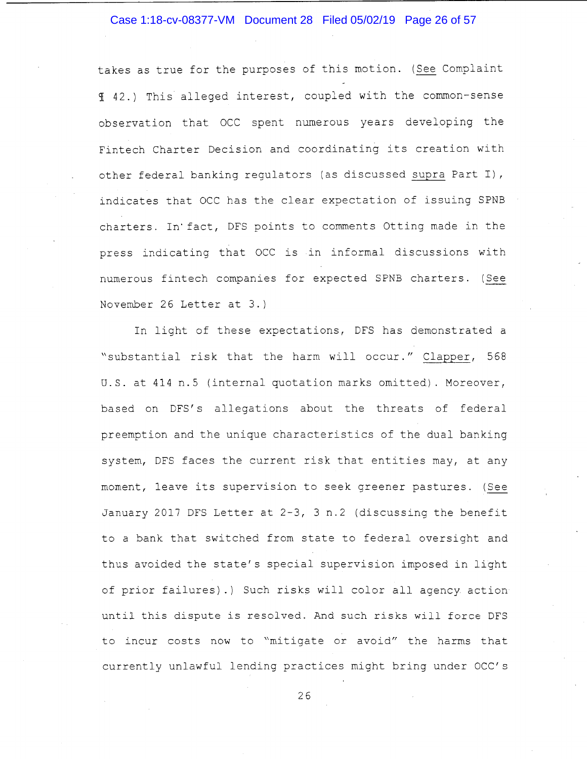#### Case 1:18-cv-08377-VM Document 28 Filed 05/02/19 Page 26 of 57

takes as true for the purposes of this motion. ( See Complaint <sup>~</sup>42.) This alleged interest, coupled with the common-sense observation that OCC spent numerous years developing the Fintech Charter Decision and coordinating its creation with other federal banking regulators (as discussed supra Part I), indicates that OCC has the clear expectation of issuing SPNB charters. In· fact, DFS points to comments Otting made in the press indicating that OCC is in informal discussions with numerous fintech companies for expected SPNB charters. (See November 26 Letter at 3.)

In light of these expectations, DFS has demonstrated a "substantial risk that the harm will occur." Clapper, 568 U.S. at 414 n.5 (internal quotation marks omitted). Moreover, based on DFS's allegations about the threats of federal preemption and the unique characteristics of the dual banking system, DFS faces the current risk that entities may, at any moment, leave its supervision to seek greener pastures. (See January 2017 DFS Letter at 2-3, 3 n.2 (discussing the benefit to a bank that switched from state to federal oversight and thus avoided the state's special supervision imposed in light of prior failures).) Such risks will color all agency action until this dispute is resolved. And such risks will force DFS to incur costs now to "mitigate or avoid" the harms that currently unlawful lending practices might bring under OCC's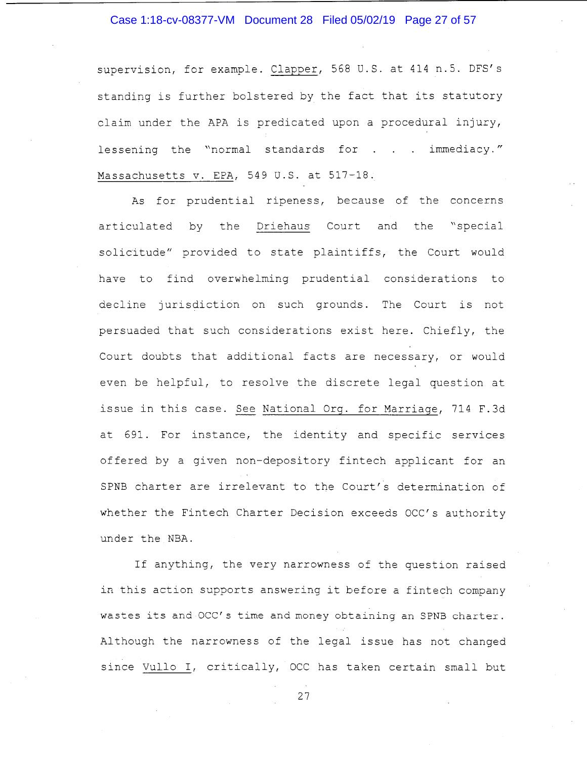#### Case 1:18-cv-08377-VM Document 28 Filed 05/02/19 Page 27 of 57

supervision, for example. Clapper, 568 U.S. at 414 n.5. DFS's standing is further bolstered by the fact that its statutory claim under the APA is predicated upon a procedural injury, lessening the "normal standards for . . . immediacy." Massachusetts v. EPA, 549 U.S. at 517-18.

As for prudential ripeness, because of the concerns articulated by the Driehaus Court and the "special solicitude" provided to state plaintiffs, the Court would have to find overwhelming prudential considerations to decline jurisdiction on such grounds. The Court is not persuaded that such considerations exist here. Chiefly, the Court doubts that additional facts are necessary, or would even be helpful, to resolve the discrete legal question at issue in this case. See National Org. for Marriage, 714 F.3d at 691. For instance, the identity and specific services offered by a given non-depository fintech applicant for an SPNB charter are irrelevant to the Court's determination of whether the Fintech Charter Decision exceeds OCC's authority under the NBA.

If anything, the very narrowness of the question raised in this action supports answering it before a fintech company wastes its and OCC's time and money obtaining an SPNB charter. Although the narrowness of the legal issue has not changed since Vullo I, critically, OCC has taken certain small but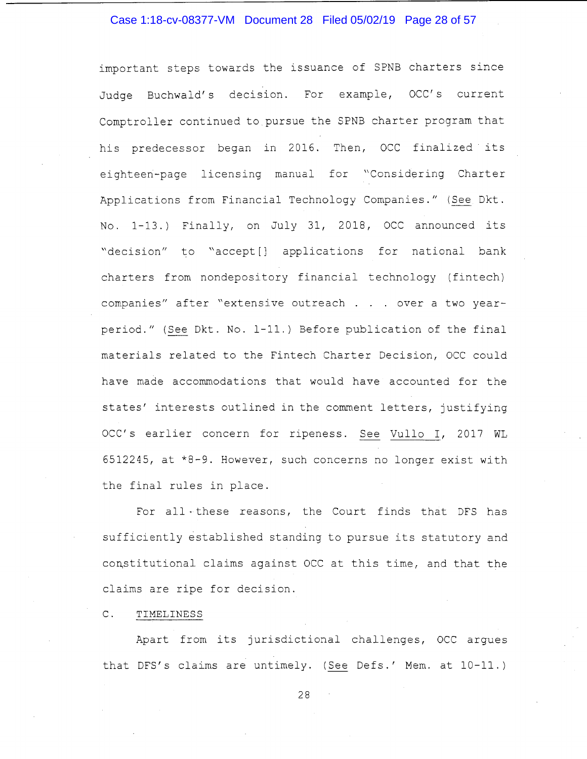# Case 1:18-cv-08377-VM Document 28 Filed 05/02/19 Page 28 of 57

important steps towards the issuance of SPNB charters since Judge Buchwald's decision. For example, OCC's current Comptroller continued to pursue the SPNB charter program that his predecessor began in 2016. Then, OCC finalized its eighteen-page licensing manual for "Considering Charter Applications from Financial Technology Companies." (See Dkt. No. 1-13.) Finally, on July 31, 2018, OCC announced its "decision" to "accept[] applications for national bank charters from nondepository financial technology (fintech) companies" after "extensive outreach . . over a two yearperiod." (See Dkt. No. 1-11.) Before publication of the final materials related to the Fintech Charter Decision, OCC could have made accommodations that would have accounted for the states' interests outlined in the comment letters, justifying OCC's earlier concern for ripeness. See Vullo I, 2017 WL 6512245, at \*8-9. However, such concerns no longer exist with the final rules in place.

For all • these reasons, the Court finds that DFS has sufficiently established standing to pursue its statutory and constitutional claims against OCC at this time, and that the claims are ripe for decision.

#### C. TIMELINESS

Apart from its jurisdictional challenges, OCC argues that DFS's claims are untimely. (See Defs.' Mem. at 10-11.)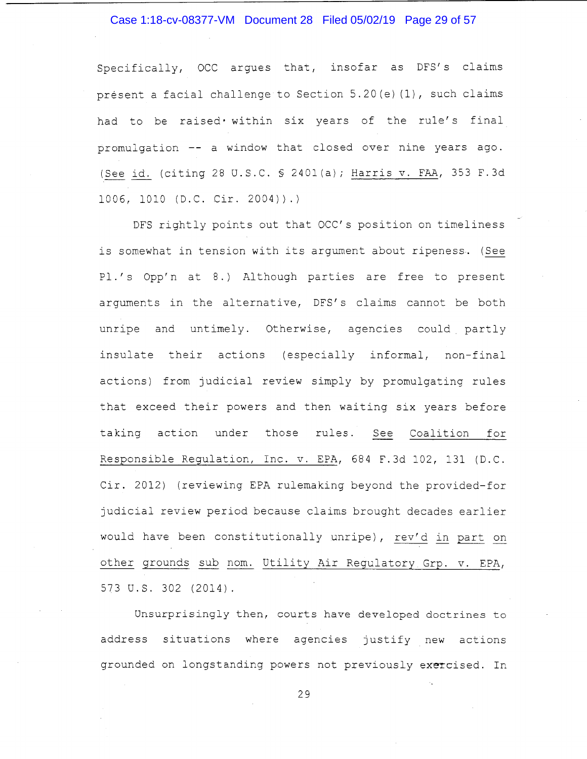# Case 1:18-cv-08377-VM Document 28 Filed 05/02/19 Page 29 of 57

Specifically, OCC argues that, insofar as DFS's claims present a facial challenge to Section 5.20(e)(1), such claims had to be raised• within six years of the rule's final promulgation -- a window that closed over nine years ago. (See id. (citing 28 U.S.C. § 2401(a); Harris v. FAA, 353 F.3d 1006, 1010 (D.C. Cir. 2004)).)

DFS rightly points out that OCC's position on timeliness is somewhat in tension with its argument about ripeness. ( See Pl.'s Opp'n at 8.) Although parties are free to present arguments in the alternative, DFS's claims cannot be both unripe and untimely. Otherwise, agencies could partly insulate their actions (especially informal, non-final actions) from judicial review simply by promulgating rules that exceed their powers and then waiting six years before taking action under those rules. See Coalition for Responsible Regulation, Inc. v. EPA, 684 F.3d 102, 131 (D.C. Cir. 2012) (reviewing EPA rulemaking beyond the provided-for judicial review period because claims brought decades earlier would have been constitutionally unripe), rev'd in part on other grounds sub nom. Utility Air Regulatory Grp. v. EPA, 573 U.S. 302 (2014).

Unsurprisingly then, courts have developed doctrines to address situations where agencies justify new actions grounded on longstanding powers not previously exercised. In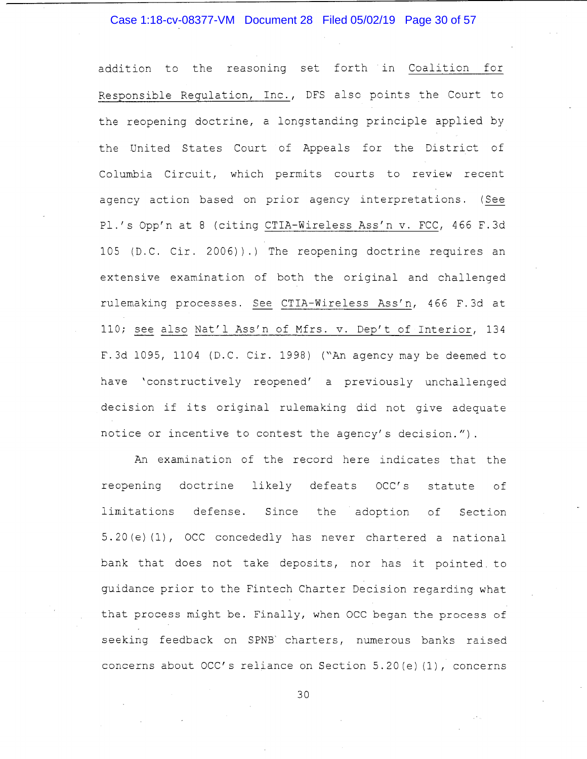## Case 1:18-cv-08377-VM Document 28 Filed 05/02/19 Page 30 of 57

addition to the reasoning set forth in Coalition for Responsible Regulation, Inc., DFS also points the Court to the reopening doctrine, a longstanding principle applied by the United States Court of Appeals for the District of Columbia Circuit, which permits courts to review recent agency action based on prior agency interpretations. ( See Pl.'s Opp'n at 8 (citing CTIA-Wireless Ass'n v. FCC, 466 F.3d 105 (D.C. Cir. 2006)).) The reopening doctrine requires an extensive examination of both the original and challenged rulemaking processes. See CTIA-Wireless Ass'n, 466 F.3d at 110; see also Nat'l Ass'n of Mfrs. v. Dep't of Interior, 134 F. 3d 1095, 1104 (D.C. Cir. 1998) ("An agency may be deemed to have 'constructively reopened' a previously unchallenged decision if its original rulemaking did not give adequate notice or incentive to contest the agency's decision.").

An examination of the record here indicates that the reopening doctrine likely defeats OCC's statute of limitations defense. Since the adoption of Section 5. 20 (e) (1), OCC concededly has never chartered a national bank that does not take deposits, nor has it pointed. to guidance prior to the Fintech Charter Decision regarding what that process might be. Finally, when OCC began the process of seeking feedback on SPNB' charters, numerous banks raised concerns about OCC's reliance on Section 5.20(e) (1), concerns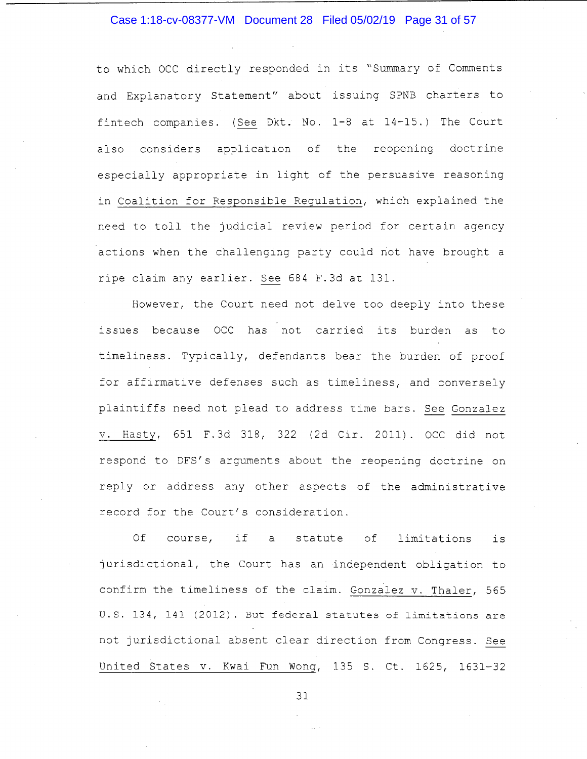#### Case 1:18-cv-08377-VM Document 28 Filed 05/02/19 Page 31 of 57

to which OCC directly responded in its "Summary of Comments and Explanatory Statement" about issuing SPNB charters to fintech companies. (See Dkt. No. 1-8 at 14-15.) The Court also considers application of the reopening doctrine especially appropriate in light of the persuasive reasoning in Coalition for Responsible Regulation, which explained the need to toll the judicial review period for certain agency actions when the challenging party could not have brought a ripe claim any earlier. See 684 F.3d at 131.

However, the Court need not delve too deeply into these issues because OCC has not carried its burden as to timeliness. Typically, defendants bear the burden of proof for affirmative defenses such as timeliness, and conversely plaintiffs need not plead to address time bars. See Gonzalez v. Hasty, 651 F.3d 318, 322 (2d Cir. 2011). OCC did not respond to DFS's arguments about the reopening doctrine on reply or address any other aspects of the administrative record for the Court's consideration.

Of course, if a statute of limitations is jurisdictional, the Court has an independent obligation to confirm the timeliness of the claim. Gonzalez v. Thaler, 565 U.S. 134, 141 (2012). But federal statutes of limitations are not jurisdictional absent clear direction from Congress. See United States v. Kwai Fun Wong, 135 S. Ct. 1625, 1631-32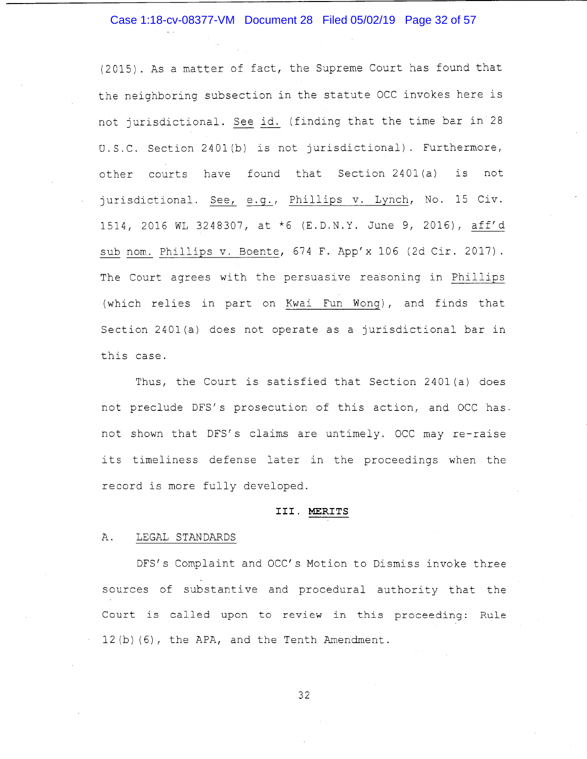#### Case 1:18-cv-08377-VM Document 28 Filed 05/02/19 Page 32 of 57

(2015). As a matter of fact, the Supreme Court has found that the neighboring subsection in the statute OCC invokes here is not jurisdictional. See id. (finding that the time bar in 28 U.S.C. Section 240l(b) is not jurisdictional). Furthermore, other courts have found that Section 240l(a) is not jurisdictional. See, e.g., Phillips v. Lynch, No. 15 Civ. 1514, 2016 WL 3248307, at \*6 (E.D.N.Y. June 9, 2016), aff'd sub nom. Phillips v. Boente, 674 F. App'x 106 (2d Cir. 2017). The Court agrees with the persuasive reasoning in Phillips (which relies in part on Kwai Fun Wong), and finds that Section 2401 (a) does not operate as a jurisdictional bar in this case.

Thus, the Court is satisfied that Section 240l(a) does not preclude DFS's prosecution of this action, and OCC has. not shown that DFS's claims are untimely. OCC may re-raise its timeliness defense later in the proceedings when the record is more fully developed.

#### **III. MERITS**

#### A. LEGAL STANDARDS

DFS's Complaint and OCC's Motion to Dismiss invoke three sources of substantive and procedural authority that the Court is called upon to review in this proceeding: Rule 12 (b) (6), the APA, and the Tenth Amendment.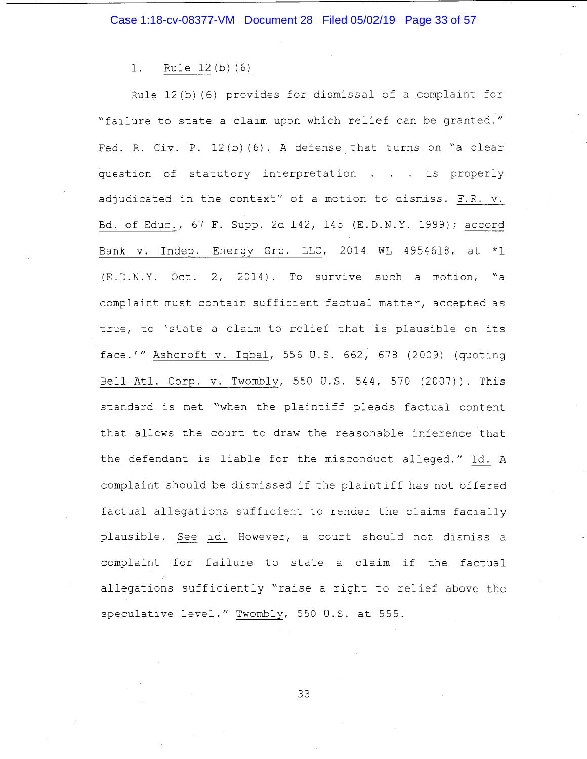1. Rule 12(b)(6)

Rule 12(b) (6) provides for dismissal of a complaint for "failure to state a claim upon which relief can be granted." Fed. R. Civ. P.  $12(b)$  (6). A defense that turns on "a clear question of statutory interpretation . . . is properly adjudicated in the context" of a motion to dismiss. F.R. v. Bd. of Educ., 67 F. Supp. 2d 142, 145 (E.D.N.Y. 1999); accord Bank v. Indep. Energy Grp. LLC, 2014 WL 4954618, at \*l (E.D.N.Y. Oct. 2, 2014). To survive such a motion, "a complaint must contain sufficient factual matter, accepted as true, to 'state a claim to relief that is plausible on its face.'" Ashcroft v. Iqbal, 556 U.S. 662, 678 (2009) (quoting Bell Atl. Corp. v. Twombly, 550 U.S. 544, 570 (2007)). This standard is met "when the plaintiff pleads factual content that allows the court to draw the reasonable inference that the defendant is liable for the misconduct alleged." Id. A complaint should be dismissed if the plaintiff has not offered factual allegations sufficient to render the claims facially plausible. See id. However, a court should not dismiss a complaint for failure to state a claim if the factual allegations sufficiently "raise a right to relief above the speculative level." Twombly, 550 U.S. at 555.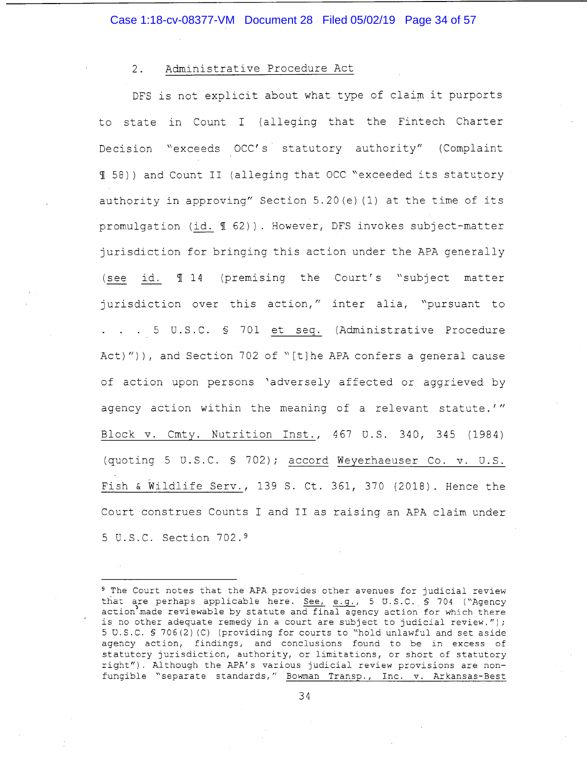#### 2. Administrative Procedure Act

DFS is not explicit about what type of claim it purports to state in Count I (alleging that the Fintech Charter Decision "exceeds OCC's statutory authority" (Complaint 1 58)) and Count II (alleging that DCC "exceeded its statutory authority in approving" Section 5.20(e) (1) at the time of its promulgation (id.  $\text{\textsterling}$  62)). However, DFS invokes subject-matter jurisdiction for bringing this action under the APA generally (see id.  $\texttt{T}$  14 (premising the Court's "subject matter jurisdiction over this action," inter alia, "pursuant to 5 U.S.C. § 701 et seq. (Administrative Procedure Act)")), and Section 702 of "[t]he APA confers a general cause of action upon persons 'adversely affected or aggrieved by agency action within the meaning of a relevant statute.'" Block v. Cmty. Nutrition Inst., 467 U.S. 340, 345 (1984) (quoting 5 U.S.C. § 702); accord Weyerhaeuser Co. v. U.S. Fish & Wildlife Serv., 139 S. Ct. 361, 370 (2018). Hence the Court construes Counts I and II as raising an APA claim under 5 U.S.C. Section 702. <sup>9</sup>

<sup>9</sup> The Court notes that the APA provides other avenues for judicial review that are perhaps applicable here.  $See$ ,  $e.g., 5 U.S.C., § 704 ( "Agency" )$ action made reviewable by statute and final agency action for which there is no other adequate remedy in a court are subject to judicial review."); 5 U.S.C. § 706(2) (C) (providing for courts to "hold unlawful and set aside agency action, findings, and conclusions found to be in excess of statutory jurisdiction, authority, or limitations, or short of statutory right"). Although the APA's various judicial review provisions are nonfungible "separate standards," Bowman Transp., Inc. v. Arkansas-Best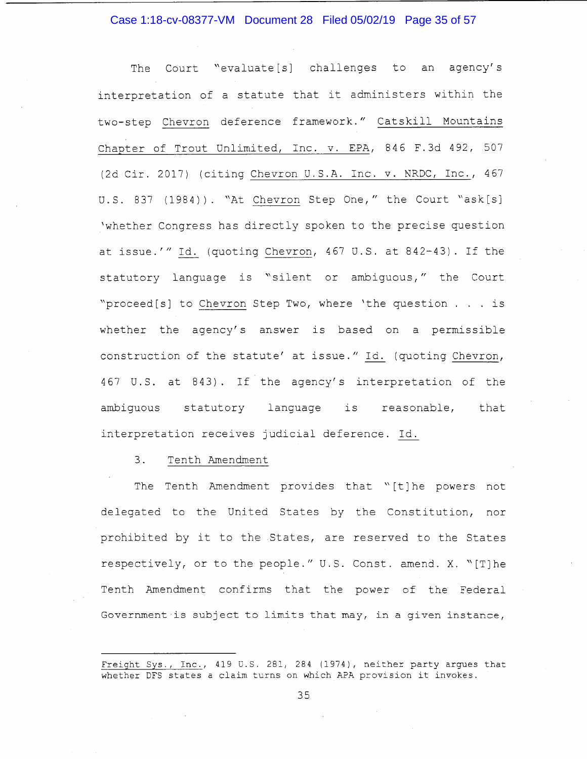#### Case 1:18-cv-08377-VM Document 28 Filed 05/02/19 Page 35 of 57

The Court "evaluate[s] challenges to an agency's interpretation of a statute that it administers within the two-step Chevron deference framework." Catskill Mountains Chapter of Trout Unlimited, Inc. v. EPA, 846 F.3d 492, 507 (2d Cir. 2017) (citing Chevron U.S.A. Inc. v. NRDC, Inc., 467 U.S. 837 (1984)). "At Chevron Step One," the Court "ask[s] 'whether Congress has directly spoken to the precise question at issue.'" Id. (quoting Chevron, 467 U.S. at 842-43). If the statutory language is "silent or ambiguous," the Court "proceed[s] to Chevron Step Two, where 'the question ... is whether the agency's answer is based on a permissible construction of the statute' at issue." Id. (quoting Chevron, 467 U.S. at 843). If the agency's interpretation of the ambiguous statutory language is reasonable, that interpretation receives judicial deference. Id.

#### 3. Tenth Amendment

The Tenth Amendment provides that "[t] he powers not delegated to the United States by the Constitution, nor prohibited by it to the States, are reserved to the States respectively, or to the people." U.S. Const. amend. X. "[T]he Tenth Amendment confirms that the power of the Federal Government is subject to limits that may, in a given instance,

Freight Sys., Inc., 419 U.S. 281, 284 (1974), neither party argues that whether DFS states a claim turns on which APA provision it invokes.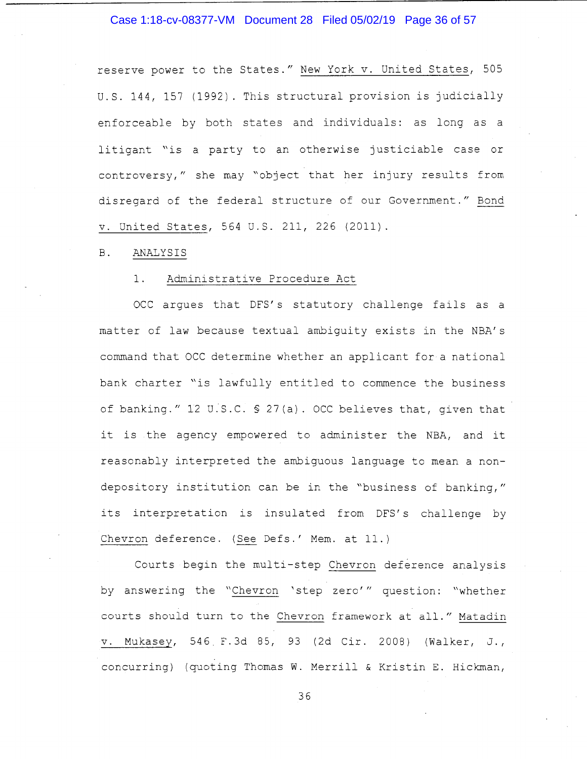#### Case 1:18-cv-08377-VM Document 28 Filed 05/02/19 Page 36 of 57

reserve power to the States." New York v. United States, 505 U.S. 144, 157 (1992). This structural provision is judicially enforceable by both states and individuals: as long as a litigant "is a party to an otherwise justiciable case or controversy," she may "object that her injury results from disregard of the federal structure of our Government." Bond v. United States, 564 U.S. 211, 226 (2011).

#### B. ANALYSIS

#### 1. Administrative Procedure Act

OCC argues that DFS's statutory challenge fails as a matter of law because textual ambiguity exists in the NBA's command that OCC determine whether an applicant for a national bank charter "is lawfully entitled to commence the business of banking." 12 u:s.c. § 27(a). OCC believes that, given that it is the agency empowered to administer the NBA, and it reasonably interpreted the ambiguous language to mean a nondepository institution can be in the "business of banking," its interpretation is insulated from DFS's challenge by Chevron deference. (See Defs.' Mem. at 11.)

Courts begin the multi-step Chevron deference analysis by answering the "Chevron 'step zero'" question: "whether courts should turn to the Chevron framework at all." Matadin v. Mukasey, 546. F.3d 85, 93 (2d Cir. 2008) (Walker, J., concurring) (quoting Thomas W. Merrill & Kristin E. Hickman,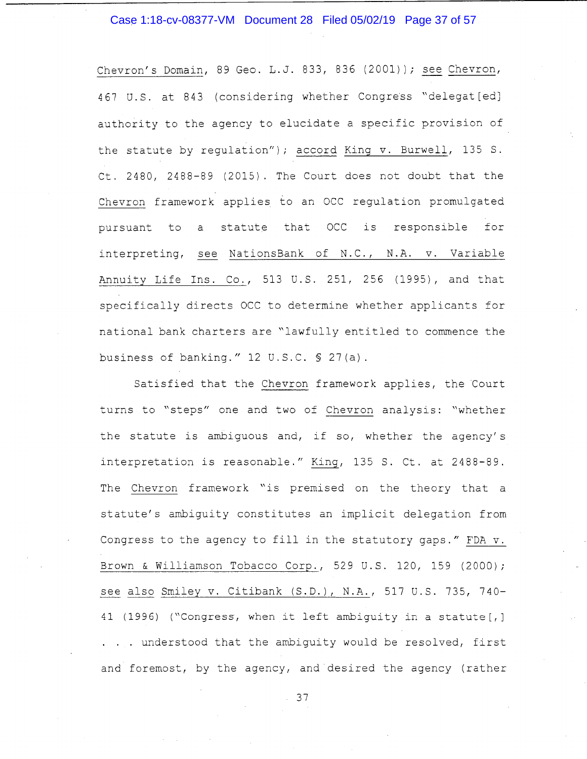#### Case 1:18-cv-08377-VM Document 28 Filed 05/02/19 Page 37 of 57

Chevron's Domain, 89 Geo. L.J. 833, 836 (2001) ); see Chevron, 467 U.S. at 843 (considering whether Congress "delegat [ed] authority to the agency to elucidate a specific provision of the statute by regulation"); accord King v. Burwell, 135 S. Ct. 2480, 2488-89 (2015). The Court does not doubt that the Chevron framework applies to an OCC regulation promulgated pursuant to a statute that OCC is responsible for interpreting, see NationsBank of N.C., N.A. v. Variable Annuity Life Ins. Co., 513 U.S. 251, 256 (1995), and that specifically directs OCC to determine whether applicants for national bank charters are "lawfully entitled to commence the business of banking." 12 U.S.C. § 27(a).

Satisfied that the Chevron framework applies, the Court turns to "steps" one and two of Chevron analysis: "whether the statute is ambiguous and, if so, whether the agency's interpretation is reasonable." King, 135 S. Ct. at 2488-89. The Chevron framework "is premised on the theory that a statute's ambiguity constitutes an implicit delegation from Congress to the agency to fill in the statutory gaps." FDA v. Brown & Williamson Tobacco Corp., 529 U.S. 120, 159 (2000); see also Smiley v. Citibank (S.D.), N.A., 517 U.S. 735, 740- 41 (1996) ("Congress, when it left ambiguity in a statute[, J . . . understood that the ambiguity would be resolved, first and foremost, by the agency, and desired the agency (rather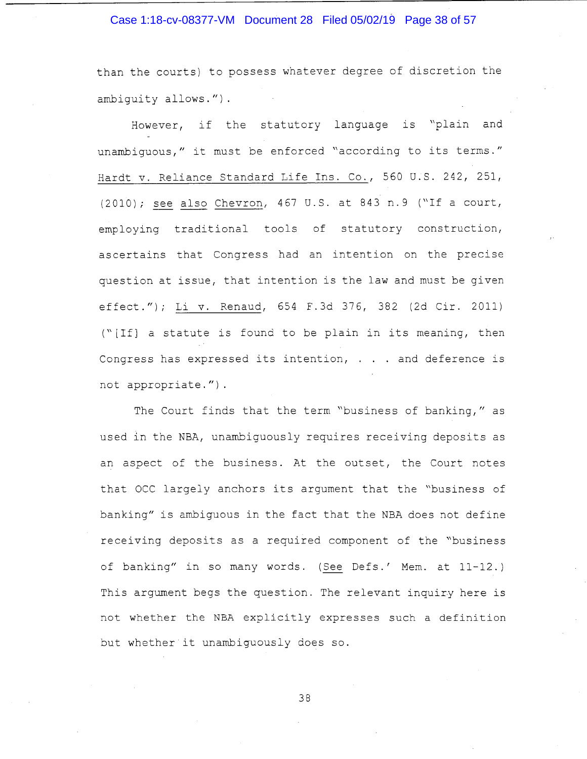#### Case 1:18-cv-08377-VM Document 28 Filed 05/02/19 Page 38 of 57

than the courts) to possess whatever degree of discretion the ambiguity allows.")

However, if the statutory language is "plain and unambiguous," it must be enforced "according to its terms." Hardt v. Reliance Standard Life Ins. Co., 560 U.S. 242, 251, (2010); see also Chevron, 467 U.S. at 843 n.9 ("If a court, employing traditional tools of statutory construction, ascertains that Congress had an intention on the precise question at issue, that intention is the law and must be given effect."); Li v. Renaud, 654 F.3d 376, 382 (2d Cir. 2011) ("[If] a statute is found to be plain in its meaning, then Congress has expressed its intention, . . . and deference is not appropriate.").

The Court finds that the term "business of banking," as used in the NBA, unambiguously requires receiving deposits as an aspect of the business. At the outset, the Court notes that OCC largely anchors its argument that the "business of banking" is ambiguous in the fact that the NBA does not define receiving deposits as a required component of the "business of banking" in so many words. (See Defs.' Mem. at 11-12.) This argument begs the question. The relevant inquiry here is not whether the NBA explicitly expresses such a definition but whether it unambiguously does so.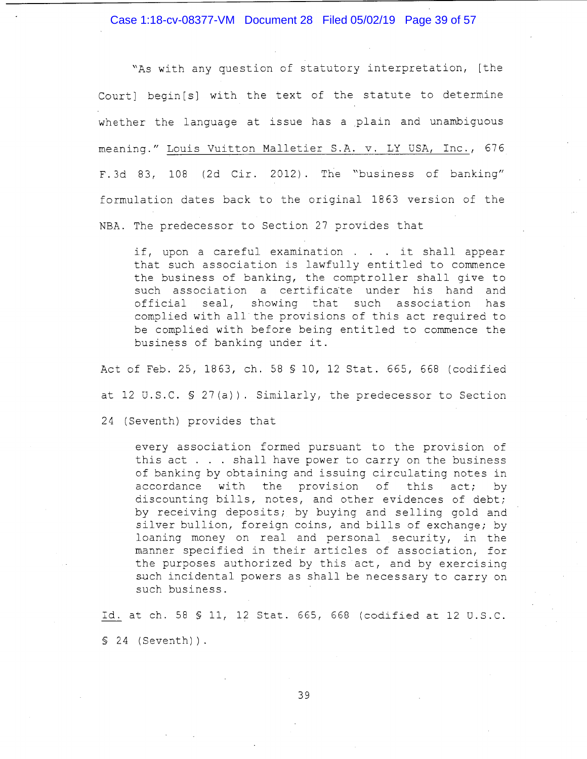Case 1:18-cv-08377-VM Document 28 Filed 05/02/19 Page 39 of 57

"As with any question of statutory interpretation, [the Court] begin [s] with the text of the statute to determine whether the language at issue has a ,plain and unambiguous meaning." Louis Vuitton Malletier S.A. v. LY USA, Inc., 676 F. 3d 83, 108 (2d Cir. 2012). The "business of banking" formulation dates back to the original 1863 version of the NBA. The predecessor to Section 27 provides that

if, upon a careful examination . . . it shall appear that such association is lawfully entitled to commence the business of banking, the comptroller shall give to such association a certificate under his hand and official seal, showing that such association has complied with all the provisions of this act required to be complied with before being entitled to commence the business of banking under it.

Act of Feb. 25, 1863, ch. 58 § 10, 12 Stat. 665, 668 (codified at 12 U.S.C. § 27(a)). Similarly, the predecessor to Section

24 (Seventh) provides that

every association formed pursuant to the provision of this act . . . shall have power to carry on the business this act . . . shall have power to carry on the business<br>of banking by obtaining and issuing circulating notes in accordance with the provision of this act; by discounting bills, notes, and other evidences of debt; by receiving deposits; by buying and selling gold and silver bullion, foreign coins, and bills of exchange; by loaning money on real and personal security, in the manner specified in their articles of association, for the purposes authorized by this act, and by exercising such incidental powers as shall be necessary to carry on such business.

Id. at ch. 58 § 11, 12 Stat. 665, 668 (codified at 12 U.S.C. § 24 (Seventh)).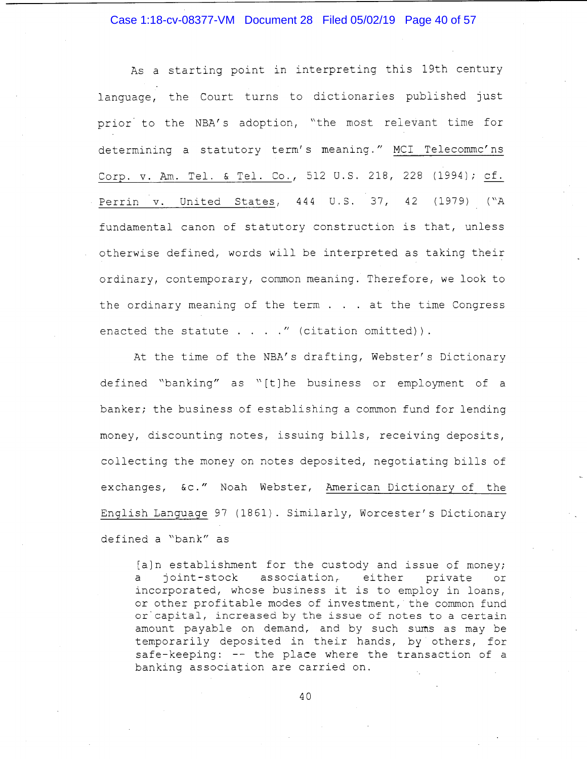#### Case 1:18-cv-08377-VM Document 28 Filed 05/02/19 Page 40 of 57

As a starting point in interpreting this 19th century language, the Court turns to dictionaries published just prior to the NBA's adoption, "the most relevant time for determining a statutory term's meaning." MCI Telecommc'ns Corp. v. Am. Tel. & Tel. Co., 512 U.S. 218, 228 (1994); cf. Perrin v. United States, 444 U.S. 37, 42 (1979) ("A fundamental canon of statutory construction is that, unless otherwise defined, words will be interpreted as taking their ordinary, contemporary, common meaning. Therefore, we look to the ordinary meaning of the term . . . at the time Congress enacted the statute  $\ldots$  . . " (citation omitted)).

At the time of the NBA's drafting, Webster's Dictionary defined "banking" as "[t] he business or employment of a banker; the business of establishing a common fund for lending money, discounting notes, issuing bills, receiving deposits, collecting the money on notes deposited, negotiating bills of exchanges, &c." Noah Webster, American Dictionary of the English Language 97 (1861). Similarly, Worcester's Dictionary defined a "bank" as

[a]n establishment for the custody and issue of money; a joint-stock association, either private or incorporated, whose business it is to employ in loans, or other profitable modes of investment, the common fund or capital, increased by the issue of notes to a certain amount payable on demand, and by such sums as may be temporarily deposited in their hands, by others, for safe-keeping: -- the place where the transaction of a banking association are carried on.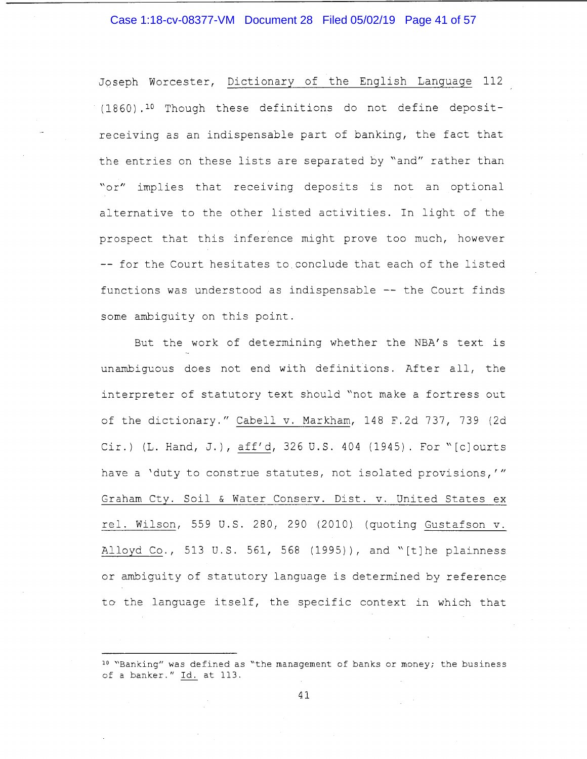#### Case 1:18-cv-08377-VM Document 28 Filed 05/02/19 Page 41 of 57

Jqseph Worcester, Dictionary of the English Language 112 ( 18 60) . 10 Though these definitions do not define depositreceiving as an indispensable part of banking, the fact that the entries on these lists are separated by "and" rather than "or" implies that receiving deposits is not an optional alternative to the other listed activities. In light of the prospect that this inference might prove too much, however -- for the Court hesitates to conclude that each of the listed functions was understood as indispensable -- the Court finds some ambiguity on this point.

But the work of determining whether the NBA's text is unambiguous does not end with definitions. After all, the interpreter of statutory text should "not make a fortress out of the dictionary." Cabell v. Markham, 148 F.2d 737, 739 (2d Cir.) (L. Hand, J.), aff'd, 326 U.S. 404 (1945). For "[c]ourts have a 'duty to construe statutes, not isolated provisions,'" Graham Cty. Soil & Water Conserv. Dist. v. United States ex rel. Wilson, 559 U.S. 280, 290 (2010) (quoting Gustafson v. Alloyd Co., 513 U.S. 561, 568 (1995)), and "[t]he plainness or ambiguity of statutory language is determined by reference to the language itself, the specific context in which that

<sup>10 &</sup>quot;Banking" was defined as "the management of banks or money; the business of a banker." Id. at 113.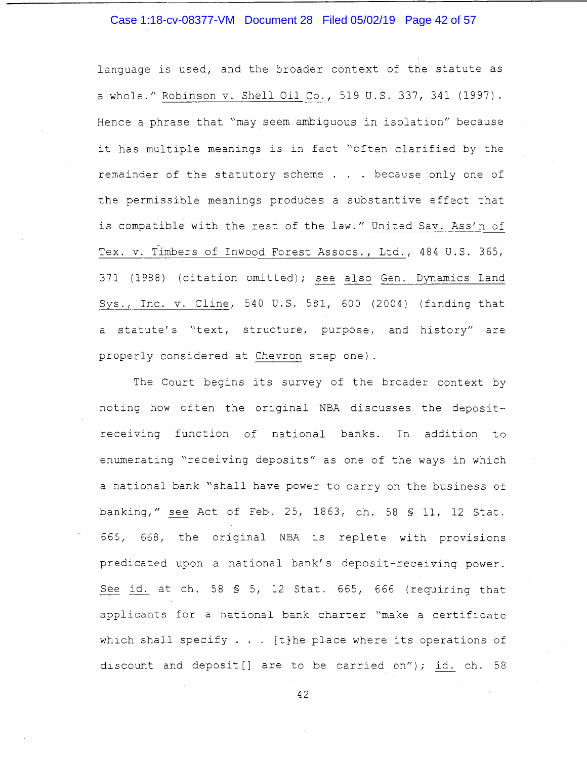#### Case 1:18-cv-08377-VM Document 28 Filed 05/02/19 Page 42 of 57

language is used, and the broader context of the statute as a whole." Robinson v. Shell Oil Co., 519 U.S. 337, 341 (1997). Hence a phrase that "may seem ambiguous in isolation'' because it has multiple meanings is in fact "often clarified by the remainder of the statutory scheme . . . because only one of the permissible meanings produces a substantive effect that is compatible with the rest of the law." United Sav. Ass'n of Tex. v. Timbers of Inwood Forest Assocs., Ltd., 484 U.S. 365, 371 (1988) (citation omitted); see also Gen. Dynamics Land Sys., Inc. v. Cline, 540 U.S. 581, 600 (2004) (finding that a statute's "text, structure, purpose, and history" are properly considered at Chevron step one).

The Court begins its survey of the broader context by noting how often the original NBA discusses the depositreceiving function of national banks. In addition to enumerating "receiving deposits" as one of the ways in which a national bank "shall have power to carry on the business of banking," see Act of Feb. 25, 1863, ch. 58 § 11, 12 Stat. 665, 668, the original NBA is replete with provisions predicated upon a national bank's deposit-receiving power. See id. at ch. 58 § 5, 12 Stat. 665, 666 (requiring that applicants for a national bank charter "make a certificate which shall specify  $\ldots$  [t}he place where its operations of discount and deposit[] are to be carried on"); id. ch. 58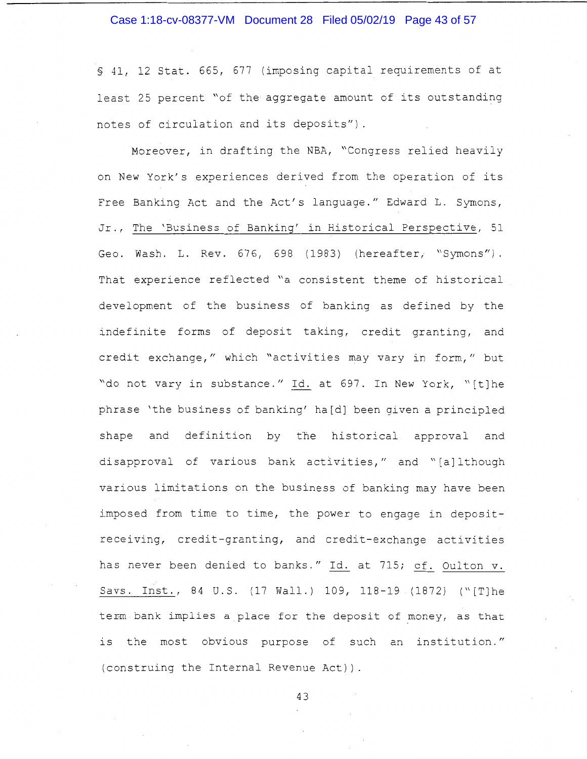#### Case 1:18-cv-08377-VM Document 28 Filed 05/02/19 Page 43 of 57

§ 41, 12 Stat. 665, 677 (imposing capital requirements of at least 25 percent "of the aggregate amount of its outstanding notes of circulation and its deposits").

Moreover, in drafting the NBA, "Congress relied heavily on New York's experiences derived from the operation of its Free Banking Act and the Act's language." Edward L. Symons, Jr., The 'Business of Banking' in Historical Perspective, 51 Geo. Wash. L. Rev. 676, 698 (1983) (hereafter, "Symons"). That experience reflected "a consistent theme of historical development of the business of banking as defined by the indefinite forms of deposit taking, credit granting, and credit exchange," which "activities may vary in form," but "do not vary in substance." Id. at 697. In New York, "[t] he phrase 'the business of banking' ha[d] been given a principled shape and definition by the historical approval and disapproval of various bank activities," and "[a] lthough various limitations on the business of banking may have been imposed from time to time, the power to engage in depositreceiving, credit-granting, and credit-exchange activities has never been denied to banks." Id. at 715; cf. Oulton v. Savs. Inst., 84 U.S. (17 Wall.) 109, 118-19 (1872) ("[T]he term bank implies a place for the deposit of money, as that is the most obvious purpose of such an institution." (construing the Internal Revenue Act)).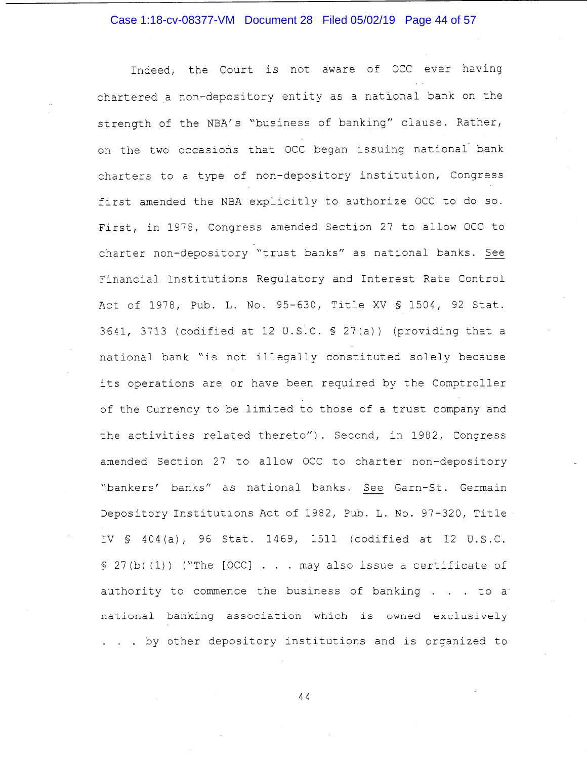#### Case 1:18-cv-08377-VM Document 28 Filed 05/02/19 Page 44 of 57

Indeed, the Court is not aware of OCC ever having chartered a non-depository entity as a national bank on the strength of the NBA's "business of banking" clause. Rather, on the two occasions that OCC began issuing national bank charters to a type of non-depository institution, Congress first amended the NBA explicitly to authorize OCC to do so. First, in 1978, Congress amended Section 27 to allow OCC to charter non-depository "trust banks" as national banks. See Financial Institutions Regulatory and Interest Rate Control Act of 1978, Pub. L. No. 95-630, Title XV§ 1504, 92 Stat. 3641, 3713 (codified at 12 U.S.C. § 27(a)) (providing that a national bank "is not illegally constituted solely because its operations are or have been required by the Comptroller of the Currency to be limited to those of a trust company and the activities related thereto"). Second, in 1982, Congress amended Section 27 to allow OCC to charter non-depository "bankers' banks" as national banks. See Garn-St. Germain Depository Institutions Act of 1982, Pub. L. No. 97-320, Title IV § 404 (a), 96 Stat. 1469, 1511 (codified at 12 U.S.C.  $$ 27(b)(1))$  ("The  $[OCC]$ ... may also issue a certificate of authority to commence the business of banking  $\ldots$  to a national banking association which is owned exclusively . by other depository institutions and is organized to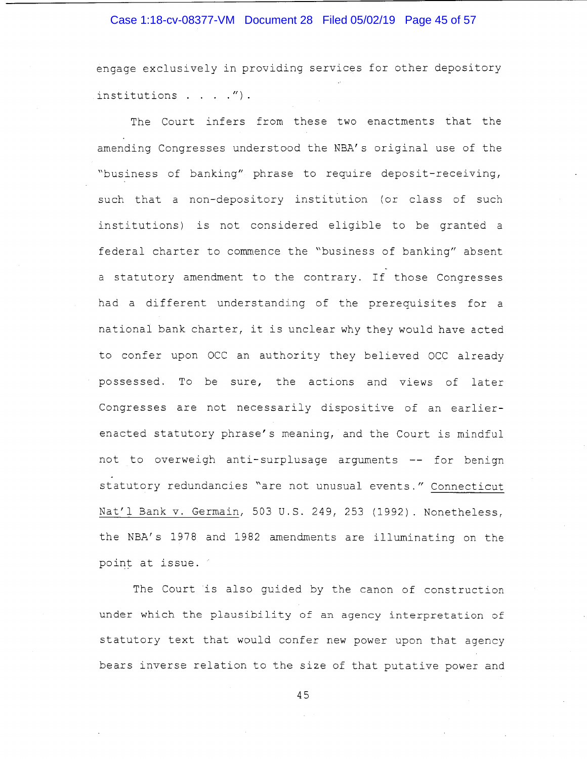#### Case 1:18-cv-08377-VM Document 28 Filed 05/02/19 Page 45 of 57

engage exclusively in providing services for other depository institutions  $\ldots$  .  $\ldots$   $\ldots$ 

The Court infers from these two enactments that the amending Congresses understood the NBA's original use of the "business of banking" phrase to require deposit-receiving, such that a non-depository institution (or class of such institutions) is not considered eligible to be granted a federal charter to commence the "business of banking" absent a statutory amendment to the contrary. If those Congresses had a different understanding of the prerequisites for a national bank charter, it is unclear why they would have acted to confer upon OCC an authority they believed OCC already possessed. To be sure, the actions and views of later Congresses are not necessarily dispositive of an earlierenacted statutory phrase's meaning, and the Court is mindful not to overweigh anti-surplusage arguments -- for benign statutory redundancies "are not unusual events." Connecticut Nat'l Bank v. Germain, 503 U.S. 249, 253 (1992). Nonetheless, the NBA's 1978 and 1982 amendments are illuminating on the point at issue.

The Court is also guided by the canon of construction under which the plausibility of an agency interpretation of statutory text that would confer new power upon that agency bears inverse relation to the size of that putative power and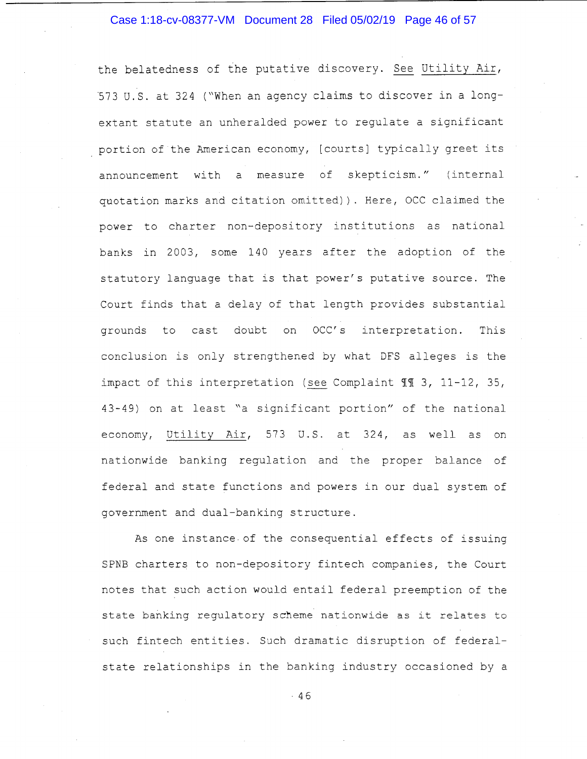# Case 1:18-cv-08377-VM Document 28 Filed 05/02/19 Page 46 of 57

the belatedness of the putative discovery. See Utility Air, 573 U.S. at 324 ("When an agency claims to discover in a longextant statute an unheralded power to regulate a significant portion of the American economy, [courts] typically greet its announcement with a measure of skepticism." (internal quotation marks and citation omitted)). Here, OCC claimed the power to charter non-depository institutions as national banks in 2003, some 140 years after the adoption of the statutory language that is that power's putative source. The Court finds that a delay of that length provides substantial grounds to cast doubt on OCC's interpretation. This conclusion is only strengthened by what DFS alleges is the impact of this interpretation (see Complaint  $\mathbb{I} \mathbb{I}$  3, 11-12, 35, 43-49) on at least "a significant portion" of the national economy, Utility Air, 573 U.S. at 324, as well as on nationwide banking regulation and the proper balance of federal and state functions and powers in our dual system of government and dual-banking structure.

As one instance of the consequential effects of issuing SPNB charters to non-depository fintech companies, the Court notes that such action would entail federal preemption of the state banking regulatory scheme nationwide as it relates to such fintech entities. Such dramatic disruption of federalstate relationships in the banking industry occasioned by a

 $.46$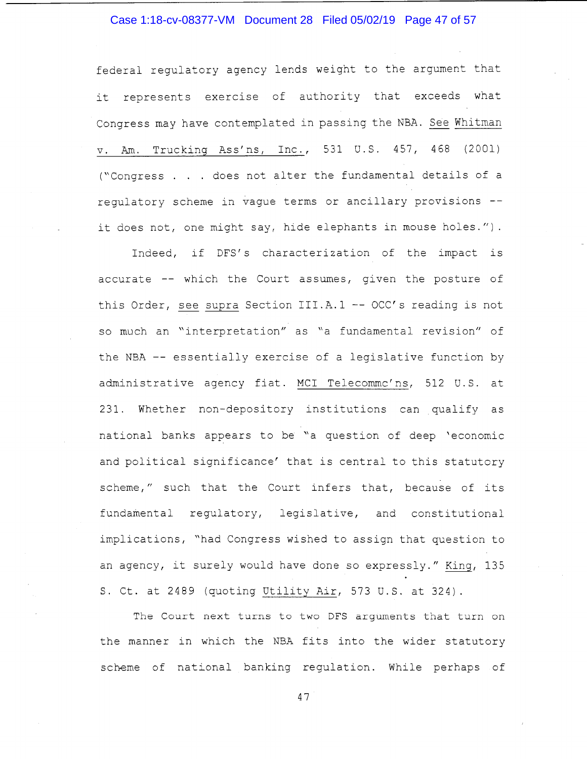# Case 1:18-cv-08377-VM Document 28 Filed 05/02/19 Page 47 of 57

federal regulatory agency lends weight to the argument that it represents exercise of authority that exceeds what Congress may have contemplated in passing the NBA. See Whitman v. Am. Trucking Ass'ns, Inc., 531 U.S. 457, 468 (2001) ("Congress . . . does not alter the fundamental details of a regulatory scheme in vague terms or ancillary provisions - it does not, one might say, hide elephants in mouse holes.").

Indeed, if DFS's characterization of the impact is accurate -- which the Court assumes, given the posture of this Order, see supra Section III.A.1 -- OCC's reading is not so much an "interpretation" as "a fundamental revision" of the NBA -- essentially exercise of a legislative function by administrative agency fiat. MCI Telecommc' ns, 512 U.S. at 231. Whether non-depository institutions can qualify as national banks appears to be "a question of deep 'economic and political significance' that is central to this statutory scheme," such that the Court infers that, because of its fundamental regulatory, legislative, and constitutional implications, "had Congress wished to assign that question to an agency, it surely would have done so expressly." King, 135 S. Ct. at 2489 (quoting Utility Air, 573 U.S. at 324).

The Court next turns to two DFS arguments that turn on the manner in which the NBA fits into the wider statutory scheme of national banking regulation. While perhaps of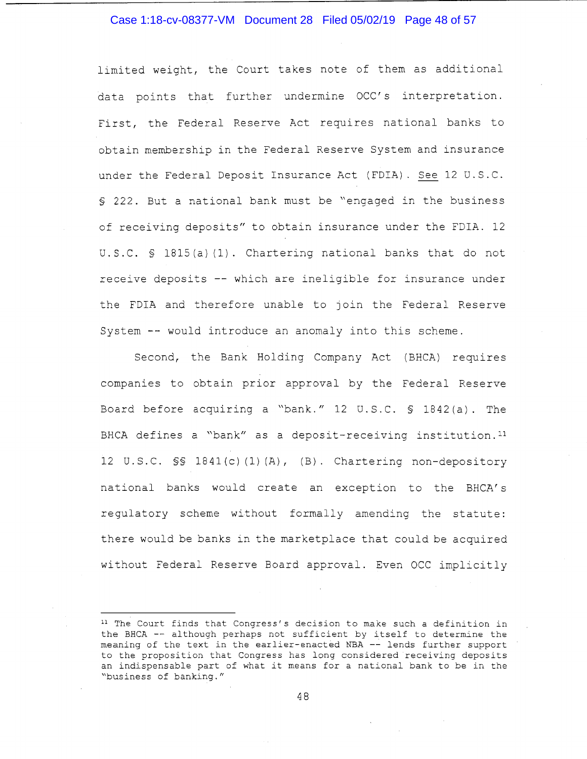#### Case 1:18-cv-08377-VM Document 28 Filed 05/02/19 Page 48 of 57

limited weight, the Court takes note of them as additional data points that further undermine OCC's interpretation. First, the Federal Reserve Act requires national banks to obtain membership in the Federal Reserve System and insurance under the Federal Deposit Insurance Act (FDIA). See 12 U.S.C. § 222. But a national bank must be "engaged in the business of receiving deposits" to obtain insurance under the FDIA. 12 U.S.C. § 1815(a) (1) Chartering national banks that do not receive deposits -- which are ineligible for insurance under the FDIA and therefore unable to join the Federal Reserve System -- would introduce an anomaly into this scheme.

Second, the Bank Holding Company Act (BHCA) requires companies to obtain prior approval by the Federal Reserve Board before acquiring a "bank." 12 U.S.C. § 1842(a). The BHCA defines a "bank" as a deposit-receiving institution. <sup>11</sup> 12 U.S.C. §§ 184l(c) (1) (A), (B). Chartering non-depository national banks would create an exception to the BHCA's regulatory scheme without formally amending the statute: there would be banks in the marketplace that could be acquired without Federal Reserve Board approval. Even OCC implicitly

<sup>&</sup>lt;sup>11</sup> The Court finds that Congress's decision to make such a definition in the BHCA -- although perhaps not sufficient by itself to determine the meaning of the text in the earlier-enacted NBA -- lends further support to the proposition that Congress has long considered receiving deposits an indispensable part of what it means for a national bank to be in the "business of banking."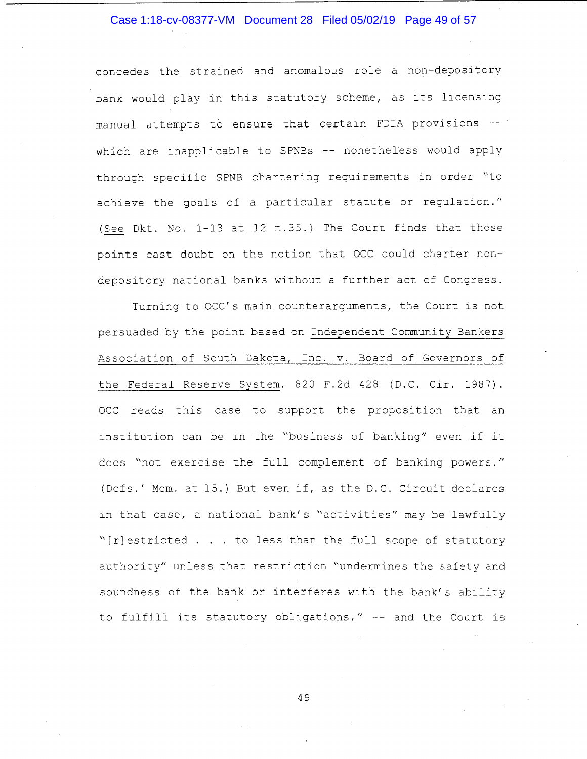# Case 1:18-cv-08377-VM Document 28 Filed 05/02/19 Page 49 of 57

concedes the strained and anomalous role a non-depository bank would play in this statutory scheme, as its licensing manual attempts to ensure that certain FDIA provisions -which are inapplicable to SPNBs -- nonetheless would apply through specific SPNB chartering requirements in order "to achieve the goals of a particular statute or regulation." (See Dkt. No. 1-13 at 12 n.35.) The Court finds that these points cast doubt on the notion that OCC could charter nondepository national banks without a further act of Congress.

Turning to OCC's main counterarguments, the Court is not persuaded by the point based on Independent Community Bankers Association of South Dakota, Inc. v. Board of Governors of the Federal Reserve System, 820 F.2d 428 (D.C. Cir. 1987). OCC reads this case to support the proposition that an institution can be in the "business of banking" even if it does "not exercise the full complement of banking powers." (Defs.' Mem. at 15.) But even if, as the D.C. Circuit declares in that case, a national bank's "activities" may be lawfully "[r]estricted . . . to less than the full scope of statutory authority" unless that restriction "undermines the safety and soundness of the bank or interferes with the bank's ability to fulfill its statutory obligations," -- and the Court is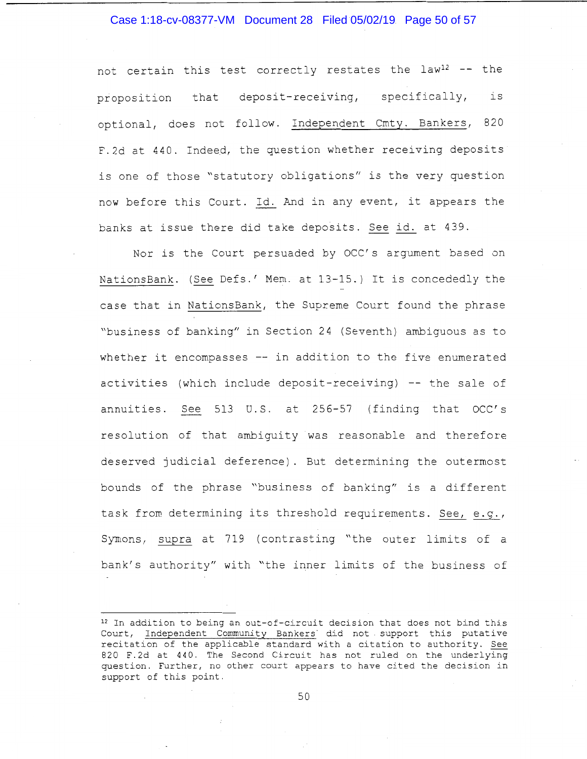#### Case 1:18-cv-08377-VM Document 28 Filed 05/02/19 Page 50 of 57

not certain this test correctly restates the law<sup>12</sup> -- the proposition that deposit-receiving, specifically, is optional, does not follow. Independent Cmty. Bankers, 820 F.2d at 440. Indeed, the question whether receiving deposits is one of those "statutory obligations" is the very question now before this Court. Id. And in any event, it appears the banks at issue there did take deposits. See id. at 439.

Nor is the Court persuaded by OCC's argument based on NationsBank. (See Defs.' Mem. at 13-15.) It is concededly the case that in NationsBank, the Supreme Court found the phrase "business of banking" in Section 24 (Seventh) ambiguous as to whether it encompasses -- in addition to the five enumerated activities (which include deposit-receiving)  $-$  the sale of annuities. See 513 U.S. at 256-57 (finding that OCC's resolution of that ambiguity was reasonable and therefore deserved judicial deference). But determining the outermost bounds of the phrase "business of banking" is a different task from determining its threshold requirements. See,  $e.q.,$ Symons, supra at 719 (contrasting "the outer limits of a bank's authority" with "the inner limits of the business of

<sup>12</sup> In addition to being an out-of-circuit decision that does not bind this Court, Independent Community Bankers did not support this putative recitation of the applicable standard with a citation to authority. See 820 F.2d at 440. The Second Circuit has not ruled on the underlying question. Further, no other court appears to have cited the decision in support of this point.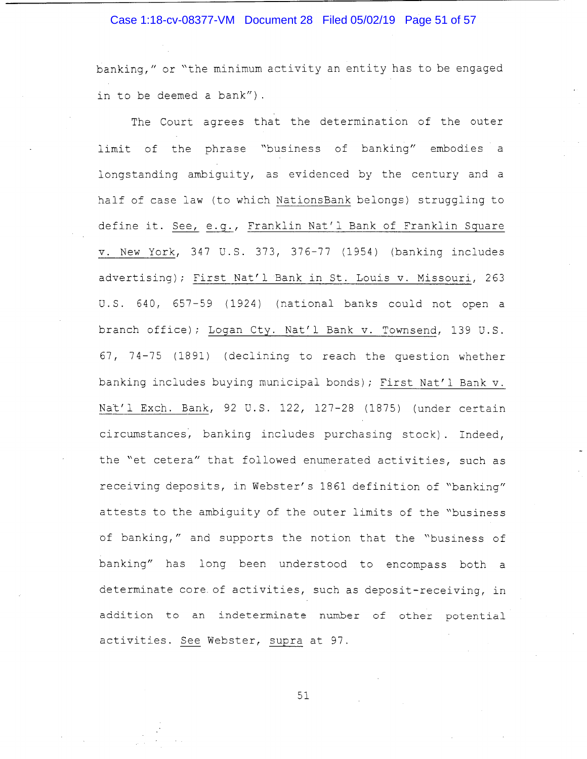## Case 1:18-cv-08377-VM Document 28 Filed 05/02/19 Page 51 of 57

banking," or "the minimum activity an entity has to be engaged in to be deemed a bank").

The Court agrees that the determination of the outer limit of the phrase "business of banking" embodies a longstanding ambiguity, as evidenced by the century and a half of case law (to which NationsBank belongs) struggling to define it. See, e.g., Franklin Nat'l Bank of Franklin Square v. New York, 347 U.S. 373, 376-77 (1954) (banking includes advertising); First Nat'l Bank in St. Louis v. Missouri, 263 U.S. 640, 657-59 (1924) (national banks could not open a branch office); Logan Cty. Nat'l Bank v. Townsend, 139 U.S. 67, 74-75 (1891) (declining to reach the question whether banking includes buying municipal bonds); First Nat'l Bank v. Nat'l Exch. Bank, 92 U.S. 122, 127-28 (1875) (under certain circumstances, banking includes purchasing stock). Indeed, the "et cetera" that followed enumerated activities, such as receiving deposits, in Webster's 1861 definition of "banking" attests to the ambiguity of the outer limits of the "business of banking," and supports the notion that the "business of banking" has long been understood to encompass both a determinate core of activities, such as deposit-receiving, in addition to an indeterminate number of other potential activities. See Webster, supra at 97.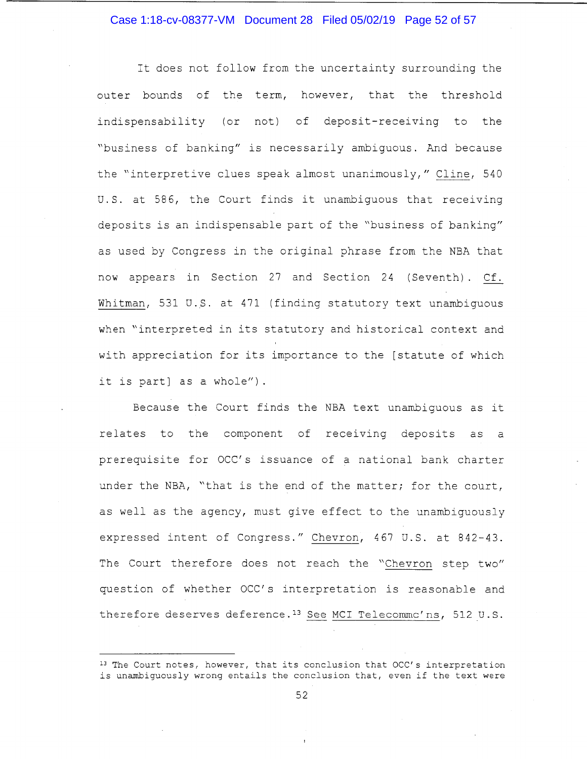#### Case 1:18-cv-08377-VM Document 28 Filed 05/02/19 Page 52 of 57

It does not follow from the uncertainty surrounding the outer bounds of the term, however, that the threshold indispensability (or not) of deposit-receiving to the "business of banking" is necessarily ambiguous. And because the "interpretive clues speak almost unanimously," Cline, 540 U.S. at 586, the Court finds it unambiguous that receiving deposits is an indispensable part of the "business of banking" as used by Congress in the original phrase from the NBA that now appears in Section 27 and Section 24 (Seventh) . Cf. Whitman, 531 U.S. at 471 (finding statutory text unambiguous when "interpreted in its statutory and historical context and with appreciation for its importance to the [statute of which it is part] as a whole").

Because the Court finds the NBA text unambiguous as it relates to the component of receiving deposits as a prerequisite for OCC's issuance of a national bank charter under the NBA, "that is the end of the matter; for the court, as well as the agency, must give effect to the unambiguously expressed intent of Congress." Chevron, 467 U.S. at 842-43. The Court therefore does not reach the "Chevron step two" question of whether OCC's interpretation is reasonable and therefore deserves deference.<sup>13</sup> See MCI Telecommc'ns, 512 U.S.

<sup>&</sup>lt;sup>13</sup> The Court notes, however, that its conclusion that OCC's interpretation is unambiguously wrong entails the conclusion that, even if the text were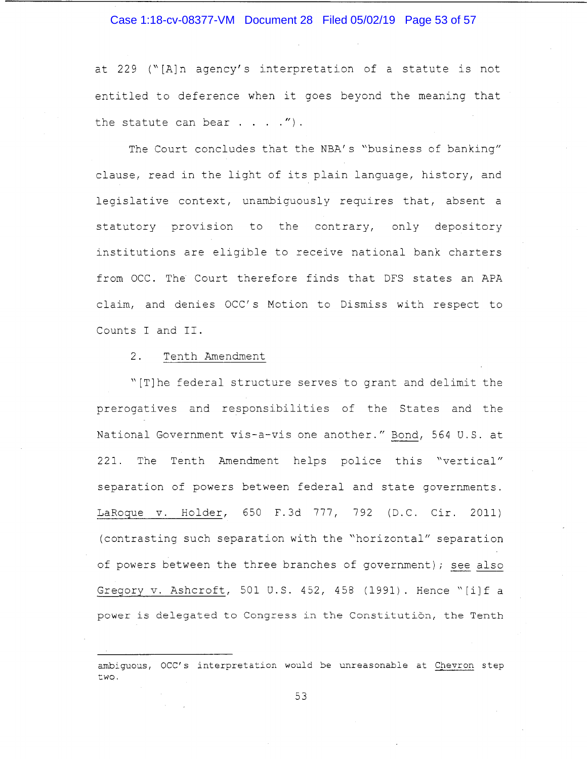#### Case 1:18-cv-08377-VM Document 28 Filed 05/02/19 Page 53 of 57

at 229 ("[A]n agency's interpretation of a statute is not entitled to deference when it goes beyond the meaning that the statute can bear  $\ldots$  . ").

The Court concludes that the NBA's "business of banking" clause, read in the light of its plain language, history, and legislative context, unambiguously requires that, absent a statutory provision to the contrary, only depository institutions are eligible to receive national bank charters from OCC. The Court therefore finds that DFS states an APA claim, and denies OCC' s Motion to Dismiss with respect to Counts I and II.

#### 2. Tenth Amendment

"[T]he federal structure serves to grant and delimit the prerogatives and responsibilities of the States and the National Government vis-a-vis one another." Bond, 564 D.S. at 221. The Tenth Amendment helps police this "vertical" separation of powers between federal and state governments. LaRoque v. Holder, 650 F.3d 777, 792 (D.C. Cir. 2011) (contrasting such separation with the "horizontal" separation of powers between the three branches of government); see also Gregory v. Ashcroft, 501 D.S. 452, 458 (1991). Hence "[i]f a power is delegated to Congress in the Constitution, the Tenth

ambiguous, OCC' s interpretation would be unreasonable at Chevron step two.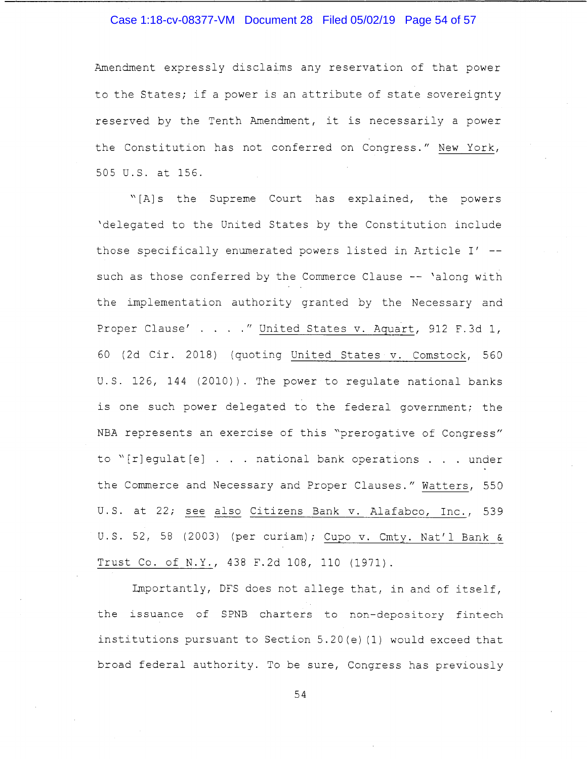# Case 1:18-cv-08377-VM Document 28 Filed 05/02/19 Page 54 of 57

Amendment expressly disclaims any reservation of that power to the States; if a power is an attribute of state sovereignty reserved by the Tenth Amendment, it is necessarily a power the Constitution has not conferred on Congress." New York, 505 U.S. at 156.

"[A]s the Supreme Court has explained, the powers 'delegated to the United States by the Constitution include those specifically enumerated powers listed in Article I' - such as those conferred by the Commerce Clause -- 'along with the implementation authority granted by the Necessary and Proper Clause' . . . . " United States v. Aquart, 912 F.3d 1, 60 (2d Cir. 2018) (quoting United States v. Comstock, 560 U.S. 126, 144 (2010)). The power to regulate national banks is one such power delegated to the federal government; the NBA represents an exercise of this "prerogative of Congress" to "[r]egulat[e] . . . national bank operations . . . under the Commerce and Necessary and Proper Clauses." Watters, 550 U.S. at 22; see also Citizens Bank v. Alafabco, Inc., 539 U.S. 52, 58 (2003) (per curiam); Cupo v. Cmty. Nat'l Bank & Trust Co. of N.Y., 438 F.2d 108, 110 (1971).

Importantly, DFS does not allege that, in and of itself, the issuance of SPNB charters to non-depository fintech institutions pursuant to Section 5. 20 (e) (1) would exceed that broad federal authority. To be sure, Congress has previously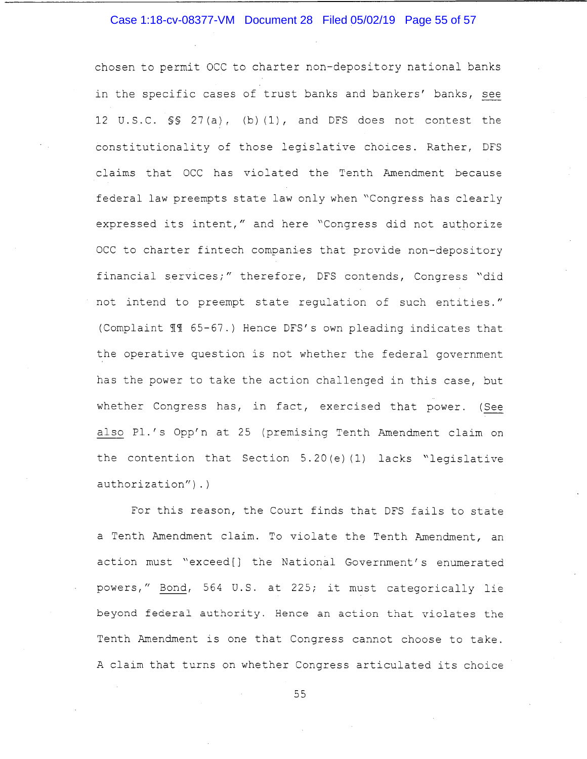# Case 1:18-cv-08377-VM Document 28 Filed 05/02/19 Page 55 of 57

chosen to permit OCC to charter non-depository national banks in the specific cases of trust banks and bankers' banks, see 12 U.S.C. §§ 27(a), (b) (1), and DFS does not contest the constitutionality of those legislative choices. Rather, DFS claims that OCC has violated the Tenth Amendment because federal law preempts state law only when "Congress has clearly expressed its intent," and here "Congress did not authorize OCC to charter fintech companies that provide non-depository financial services;" therefore, DFS contends, Congress "did not intend to preempt state regulation of such entities." (Complaint 11 65-67.) Hence DFS's own pleading indicates that the operative question is not whether the federal government has the power to take the action challenged in this case, but whether Congress has, in fact, exercised that power. (See also Pl.'s Opp'n at 25 (premising Tenth Amendment claim on the contention that Section  $5.20(e)$  (1) lacks "legislative authorization").)

For this reason, the Court finds that DFS fails to state a Tenth Amendment claim. To violate the Tenth Amendment, an action must "exceed[] the National Government's enumerated powers," Bond, 564 U.S. at 225; it must categorically lie beyond federal authority. Hence an action that violates the Tenth Amendment is one that Congress cannot choose to take. A claim that turns on whether Congress articulated its choice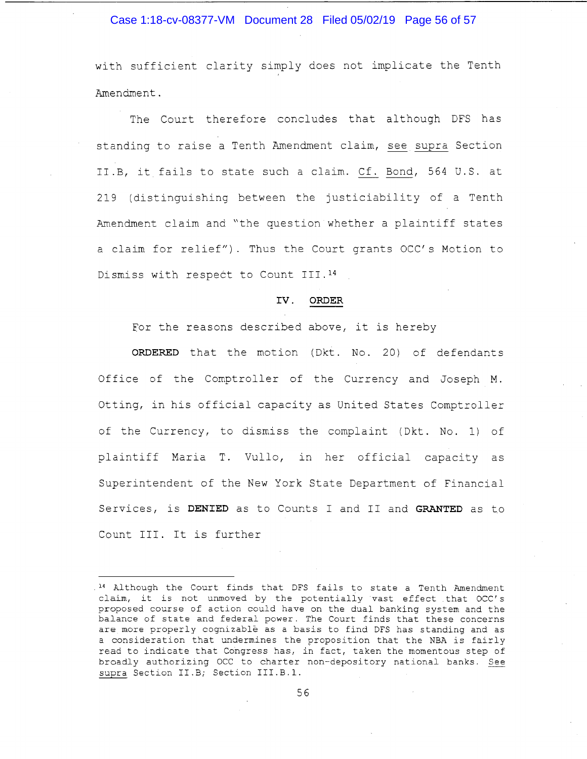#### Case 1:18-cv-08377-VM Document 28 Filed 05/02/19 Page 56 of 57

with sufficient clarity simply does not implicate the Tenth Amendment.

The Court therefore concludes that although DFS has standing to raise a Tenth Amendment claim, see supra Section II. B, it fails to state such a claim. Cf. Bond, 564 U.S. at 219 (distinguishing between the justiciability of a Tenth Amendment claim and "the question whether a plaintiff states a claim for relief"). Thus the Court grants OCC's Motion to Dismiss with respect to Count III. <sup>14</sup>

#### **IV. ORDER**

For the reasons described above, it is hereby

**ORDERED** that the motion (Dkt. No. 20) of defendants Office of the Comptroller of the Currency and Joseph M. Otting, in his official capacity as United States Comptroller of the Currency, to dismiss the complaint (Dkt. No. 1) of plaintiff Maria T. Vullo, in her official capacity as Superintendent of the New York State Department of Financial Services, is **DENIED** as to Counts I and II and **GRANTED** as to Count III. It is further

<sup>14</sup> Although the Court finds that DFS fails to state a Tenth Amendment claim, it is not unmoved by the potentially vast effect that OCC' s proposed course of action could have on the dual banking system and the balance of state and federal power. The Court finds that these concerns are more properly cognizable as a basis to find DFS has standing and as a consideration that undermines the proposition that the NBA is fairly read to indicate that COngress has, in fact, taken the momentous step of broadly authorizing OCC to charter non-depository national banks. See supra Section II.B; Section III.B.l.